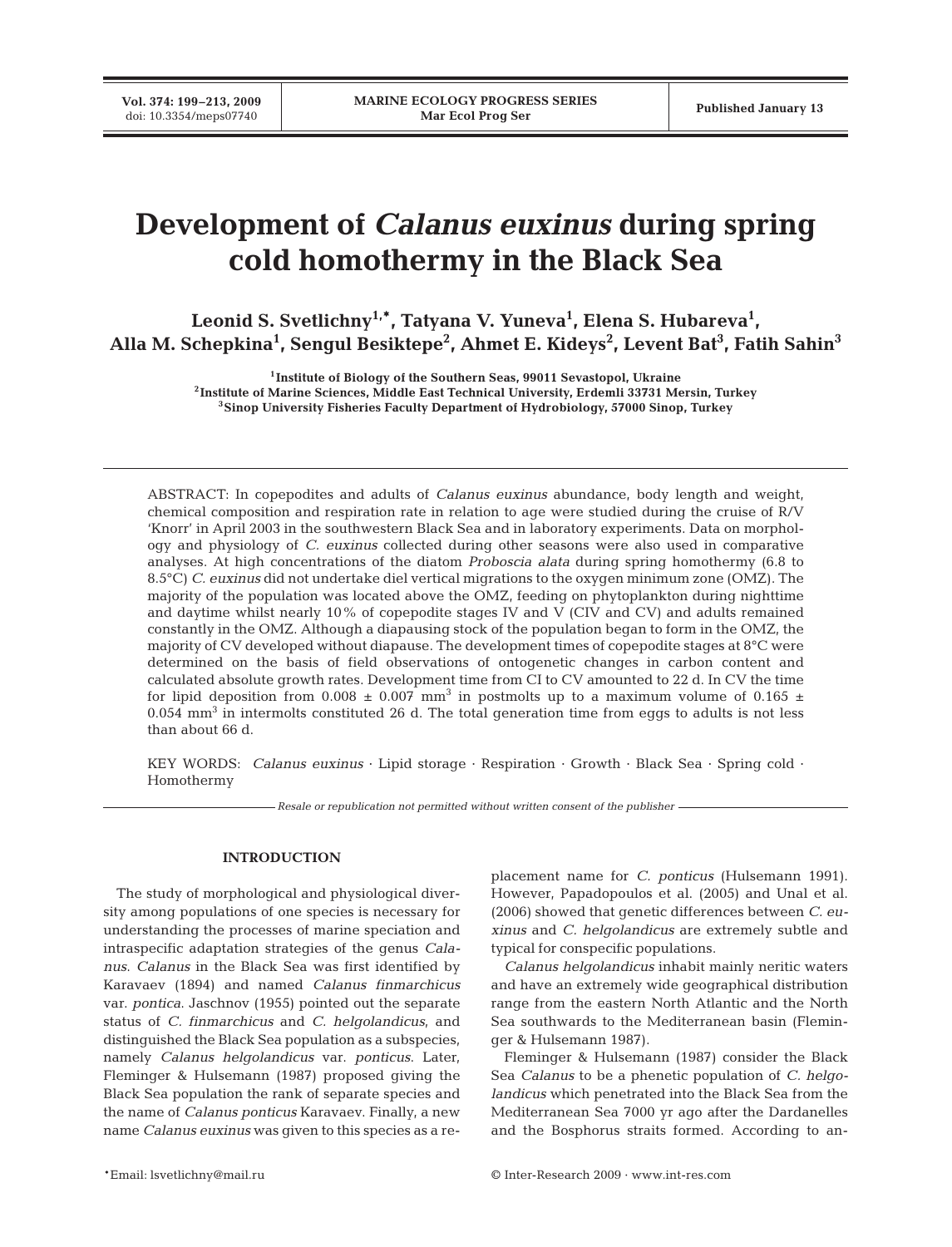# **Development of** *Calanus euxinus* **during spring cold homothermy in the Black Sea**

Leonid S. Svetlichny<sup>1,\*</sup>, Tatyana V. Yuneva<sup>1</sup>, Elena S. Hubareva<sup>1</sup>, **Alla M. Schepkina1 , Sengul Besiktepe2 , Ahmet E. Kideys2 , Levent Bat3 , Fatih Sahin3**

> **1Institute of Biology of the Southern Seas, 99011 Sevastopol, Ukraine 2Institute of Marine Sciences, Middle East Technical University, Erdemli 33731 Mersin, Turkey 3Sinop University Fisheries Faculty Department of Hydrobiology, 57000 Sinop, Turkey**

ABSTRACT: In copepodites and adults of *Calanus euxinus* abundance, body length and weight, chemical composition and respiration rate in relation to age were studied during the cruise of R/V 'Knorr' in April 2003 in the southwestern Black Sea and in laboratory experiments. Data on morphology and physiology of *C. euxinus* collected during other seasons were also used in comparative analyses. At high concentrations of the diatom *Proboscia alata* during spring homothermy (6.8 to 8.5°C) *C. euxinus* did not undertake diel vertical migrations to the oxygen minimum zone (OMZ). The majority of the population was located above the OMZ, feeding on phytoplankton during nighttime and daytime whilst nearly 10% of copepodite stages IV and V (CIV and CV) and adults remained constantly in the OMZ. Although a diapausing stock of the population began to form in the OMZ, the majority of CV developed without diapause. The development times of copepodite stages at 8°C were determined on the basis of field observations of ontogenetic changes in carbon content and calculated absolute growth rates. Development time from CI to CV amounted to 22 d. In CV the time for lipid deposition from 0.008  $\pm$  0.007 mm<sup>3</sup> in postmolts up to a maximum volume of 0.165  $\pm$  $0.054$  mm<sup>3</sup> in intermolts constituted 26 d. The total generation time from eggs to adults is not less than about 66 d.

KEY WORDS: *Calanus euxinus* · Lipid storage · Respiration · Growth · Black Sea · Spring cold · Homothermy

*Resale or republication not permitted without written consent of the publisher*

## **INTRODUCTION**

The study of morphological and physiological diversity among populations of one species is necessary for understanding the processes of marine speciation and intraspecific adaptation strategies of the genus *Calanus*. *Calanus* in the Black Sea was first identified by Karavaev (1894) and named *Calanus finmarchicus* var. *pontica*. Jaschnov (1955) pointed out the separate status of *C. finmarchicus* and *C. helgolandicus*, and distinguished the Black Sea population as a subspecies, namely *Calanus helgolandicus* var. *ponticus*. Later, Fleminger & Hulsemann (1987) proposed giving the Black Sea population the rank of separate species and the name of *Calanus ponticus* Karavaev. Finally, a new name *Calanus euxinus* was given to this species as a replacement name for *C. ponticus* (Hulsemann 1991). However, Papadopoulos et al. (2005) and Unal et al. (2006) showed that genetic differences between *C. euxinus* and *C. helgolandicus* are extremely subtle and typical for conspecific populations.

*Calanus helgolandicus* inhabit mainly neritic waters and have an extremely wide geographical distribution range from the eastern North Atlantic and the North Sea southwards to the Mediterranean basin (Fleminger & Hulsemann 1987).

Fleminger & Hulsemann (1987) consider the Black Sea *Calanus* to be a phenetic population of *C. helgolandicus* which penetrated into the Black Sea from the Mediterranean Sea 7000 yr ago after the Dardanelles and the Bosphorus straits formed. According to an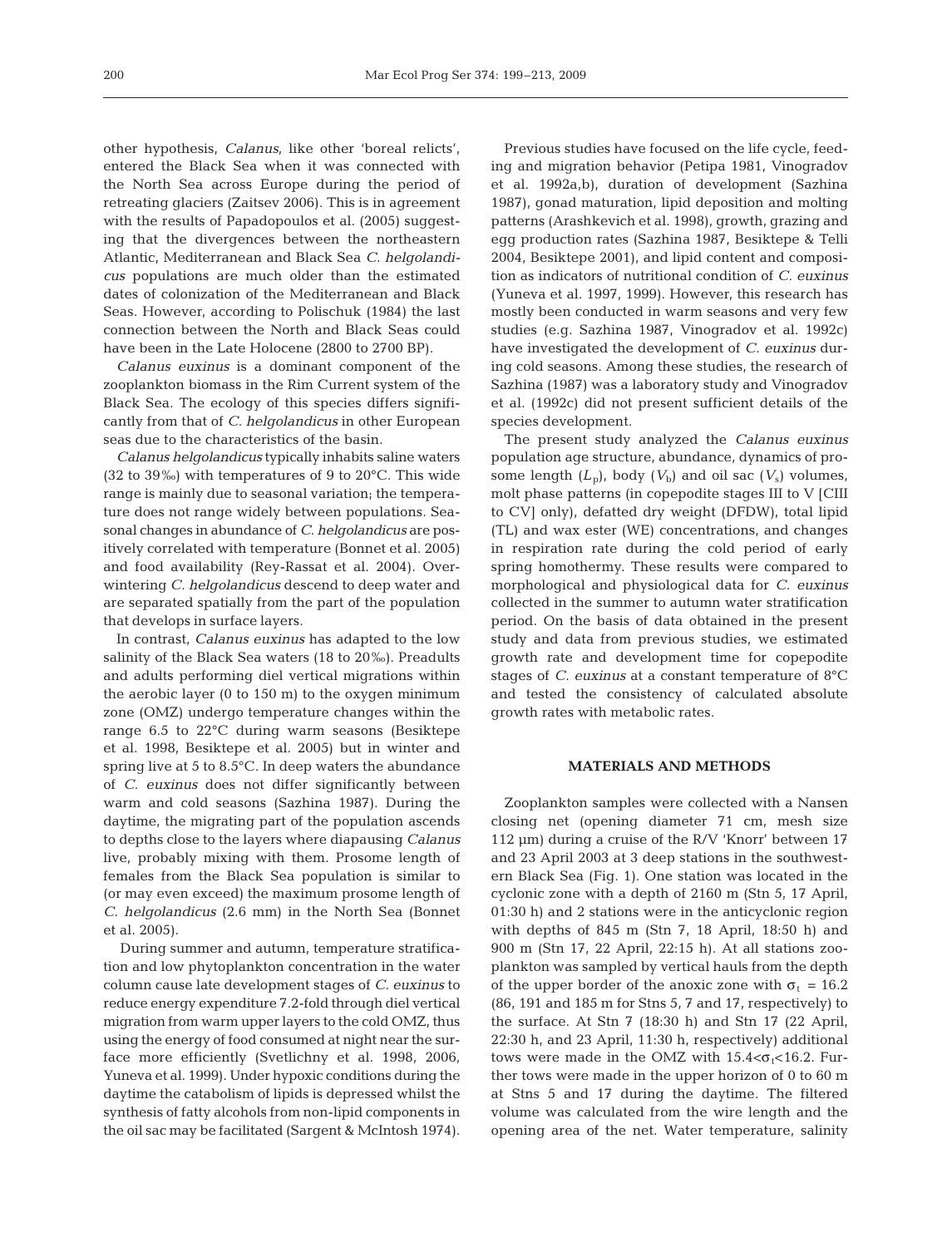other hypothesis, *Calanus*, like other 'boreal relicts', entered the Black Sea when it was connected with the North Sea across Europe during the period of retreating glaciers (Zaitsev 2006). This is in agreement with the results of Papadopoulos et al. (2005) suggesting that the divergences between the northeastern Atlantic, Mediterranean and Black Sea *C. helgolandicus* populations are much older than the estimated dates of colonization of the Mediterranean and Black Seas. However, according to Polischuk (1984) the last connection between the North and Black Seas could have been in the Late Holocene (2800 to 2700 BP).

*Calanus euxinus* is a dominant component of the zooplankton biomass in the Rim Current system of the Black Sea. The ecology of this species differs significantly from that of *C. helgolandicus* in other European seas due to the characteristics of the basin.

*Calanus helgolandicus* typically inhabits saline waters (32 to 39‰) with temperatures of 9 to 20°C. This wide range is mainly due to seasonal variation; the temperature does not range widely between populations. Seasonal changes in abundance of *C. helgolandicus* are positively correlated with temperature (Bonnet et al. 2005) and food availability (Rey-Rassat et al. 2004). Overwintering *C. helgolandicus* descend to deep water and are separated spatially from the part of the population that develops in surface layers.

In contrast, *Calanus euxinus* has adapted to the low salinity of the Black Sea waters (18 to 20‰). Preadults and adults performing diel vertical migrations within the aerobic layer (0 to 150 m) to the oxygen minimum zone (OMZ) undergo temperature changes within the range 6.5 to 22°C during warm seasons (Besiktepe et al. 1998, Besiktepe et al. 2005) but in winter and spring live at 5 to 8.5°C. In deep waters the abundance of *C. euxinus* does not differ significantly between warm and cold seasons (Sazhina 1987). During the daytime, the migrating part of the population ascends to depths close to the layers where diapausing *Calanus* live, probably mixing with them. Prosome length of females from the Black Sea population is similar to (or may even exceed) the maximum prosome length of *C. helgolandicus* (2.6 mm) in the North Sea (Bonnet et al. 2005).

During summer and autumn, temperature stratification and low phytoplankton concentration in the water column cause late development stages of *C. euxinus* to reduce energy expenditure 7.2-fold through diel vertical migration from warm upper layers to the cold OMZ, thus using the energy of food consumed at night near the surface more efficiently (Svetlichny et al. 1998, 2006, Yuneva et al. 1999). Under hypoxic conditions during the daytime the catabolism of lipids is depressed whilst the synthesis of fatty alcohols from non-lipid components in the oil sac may be facilitated (Sargent & McIntosh 1974).

Previous studies have focused on the life cycle, feeding and migration behavior (Petipa 1981, Vinogradov et al. 1992a,b), duration of development (Sazhina 1987), gonad maturation, lipid deposition and molting patterns (Arashkevich et al. 1998), growth, grazing and egg production rates (Sazhina 1987, Besiktepe & Telli 2004, Besiktepe 2001), and lipid content and composition as indicators of nutritional condition of *C. euxinus* (Yuneva et al. 1997, 1999). However, this research has mostly been conducted in warm seasons and very few studies (e.g. Sazhina 1987, Vinogradov et al. 1992c) have investigated the development of *C. euxinus* during cold seasons. Among these studies, the research of Sazhina (1987) was a laboratory study and Vinogradov et al. (1992c) did not present sufficient details of the species development.

The present study analyzed the *Calanus euxinus* population age structure, abundance, dynamics of prosome length  $(L_p)$ , body  $(V_b)$  and oil sac  $(V_s)$  volumes, molt phase patterns (in copepodite stages III to V [CIII to CV] only), defatted dry weight (DFDW), total lipid (TL) and wax ester (WE) concentrations, and changes in respiration rate during the cold period of early spring homothermy. These results were compared to morphological and physiological data for *C. euxinus* collected in the summer to autumn water stratification period. On the basis of data obtained in the present study and data from previous studies, we estimated growth rate and development time for copepodite stages of *C. euxinus* at a constant temperature of 8°C and tested the consistency of calculated absolute growth rates with metabolic rates.

## **MATERIALS AND METHODS**

Zooplankton samples were collected with a Nansen closing net (opening diameter 71 cm, mesh size 112 µm) during a cruise of the R/V 'Knorr' between 17 and 23 April 2003 at 3 deep stations in the southwestern Black Sea (Fig. 1). One station was located in the cyclonic zone with a depth of 2160 m (Stn 5, 17 April, 01:30 h) and 2 stations were in the anticyclonic region with depths of 845 m (Stn 7, 18 April, 18:50 h) and 900 m (Stn 17, 22 April, 22:15 h). At all stations zooplankton was sampled by vertical hauls from the depth of the upper border of the anoxic zone with  $\sigma_t = 16.2$ (86, 191 and 185 m for Stns 5, 7 and 17, respectively) to the surface. At Stn 7 (18:30 h) and Stn 17 (22 April, 22:30 h, and 23 April, 11:30 h, respectively) additional tows were made in the OMZ with  $15.4 < \sigma_t < 16.2$ . Further tows were made in the upper horizon of 0 to 60 m at Stns 5 and 17 during the daytime. The filtered volume was calculated from the wire length and the opening area of the net. Water temperature, salinity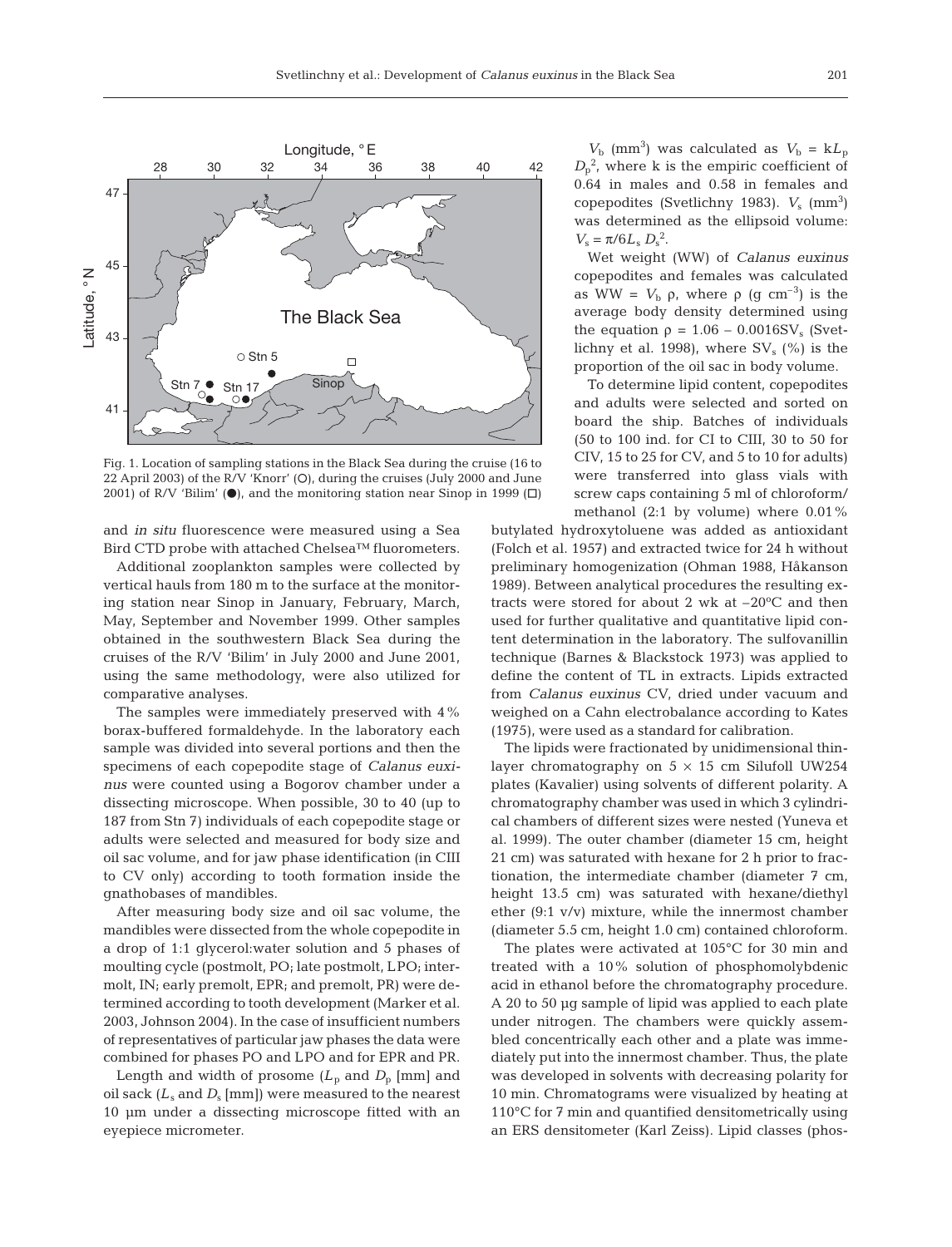

Fig. 1. Location of sampling stations in the Black Sea during the cruise (16 to 22 April 2003) of the R/V 'Knorr' (O), during the cruises (July 2000 and June 2001) of R/V 'Bilim' ( $\bullet$ ), and the monitoring station near Sinop in 1999 ( $\Box$ )

and *in situ* fluorescence were measured using a Sea Bird CTD probe with attached Chelsea™ fluorometers.

Additional zooplankton samples were collected by vertical hauls from 180 m to the surface at the monitoring station near Sinop in January, February, March, May, September and November 1999. Other samples obtained in the southwestern Black Sea during the cruises of the R/V 'Bilim' in July 2000 and June 2001, using the same methodology, were also utilized for comparative analyses.

The samples were immediately preserved with 4% borax-buffered formaldehyde. In the laboratory each sample was divided into several portions and then the specimens of each copepodite stage of *Calanus euxinus* were counted using a Bogorov chamber under a dissecting microscope. When possible, 30 to 40 (up to 187 from Stn 7) individuals of each copepodite stage or adults were selected and measured for body size and oil sac volume, and for jaw phase identification (in CIII to CV only) according to tooth formation inside the gnathobases of mandibles.

After measuring body size and oil sac volume, the mandibles were dissected from the whole copepodite in a drop of 1:1 glycerol:water solution and 5 phases of moulting cycle (postmolt, PO; late postmolt, LPO; intermolt, IN; early premolt, EPR; and premolt, PR) were determined according to tooth development (Marker et al. 2003, Johnson 2004). In the case of insufficient numbers of representatives of particular jaw phases the data were combined for phases PO and LPO and for EPR and PR.

Length and width of prosome  $(L_p$  and  $D_p$  [mm] and oil sack  $(L_s$  and  $D_s$  [mm]) were measured to the nearest 10 µm under a dissecting microscope fitted with an eyepiece micrometer.

 $V_{\rm b}$  (mm<sup>3</sup>) was calculated as  $V_{\rm b} = kL_{\rm p}$  $D_p^2$ , where k is the empiric coefficient of 0.64 in males and 0.58 in females and copepodites (Svetlichny 1983).  $V_s$  (mm<sup>3</sup>) was determined as the ellipsoid volume:  $V_{\rm s} = \pi/6L_{\rm s} D_{\rm s}^2$ .

Wet weight (WW) of *Calanus euxinus* copepodites and females was calculated as WW =  $V_b$  ρ, where ρ (g cm<sup>-3</sup>) is the average body density determined using the equation  $\rho = 1.06 - 0.0016SV_s$  (Svetlichny et al. 1998), where  $SV_s$  (%) is the proportion of the oil sac in body volume.

To determine lipid content, copepodites and adults were selected and sorted on board the ship. Batches of individuals (50 to 100 ind. for CI to CIII, 30 to 50 for CIV, 15 to 25 for CV, and 5 to 10 for adults) were transferred into glass vials with screw caps containing 5 ml of chloroform/ methanol (2:1 by volume) where  $0.01\%$ 

butylated hydroxytoluene was added as antioxidant (Folch et al. 1957) and extracted twice for 24 h without preliminary homogenization (Ohman 1988, Håkanson 1989). Between analytical procedures the resulting extracts were stored for about 2 wk at  $-20^{\circ}$ C and then used for further qualitative and quantitative lipid content determination in the laboratory. The sulfovanillin technique (Barnes & Blackstock 1973) was applied to define the content of TL in extracts. Lipids extracted from *Calanus euxinus* CV, dried under vacuum and weighed on a Cahn electrobalance according to Kates (1975), were used as a standard for calibration.

The lipids were fractionated by unidimensional thinlayer chromatography on  $5 \times 15$  cm Silufoll UW254 plates (Kavalier) using solvents of different polarity. A chromatography chamber was used in which 3 cylindrical chambers of different sizes were nested (Yuneva et al. 1999). The outer chamber (diameter 15 cm, height 21 cm) was saturated with hexane for 2 h prior to fractionation, the intermediate chamber (diameter 7 cm, height 13.5 cm) was saturated with hexane/diethyl ether (9:1 v/v) mixture, while the innermost chamber (diameter 5.5 cm, height 1.0 cm) contained chloroform.

The plates were activated at 105°C for 30 min and treated with a 10% solution of phosphomolybdenic acid in ethanol before the chromatography procedure. A 20 to 50 µg sample of lipid was applied to each plate under nitrogen. The chambers were quickly assembled concentrically each other and a plate was immediately put into the innermost chamber. Thus, the plate was developed in solvents with decreasing polarity for 10 min. Chromatograms were visualized by heating at 110°C for 7 min and quantified densitometrically using an ERS densitometer (Karl Zeiss). Lipid classes (phos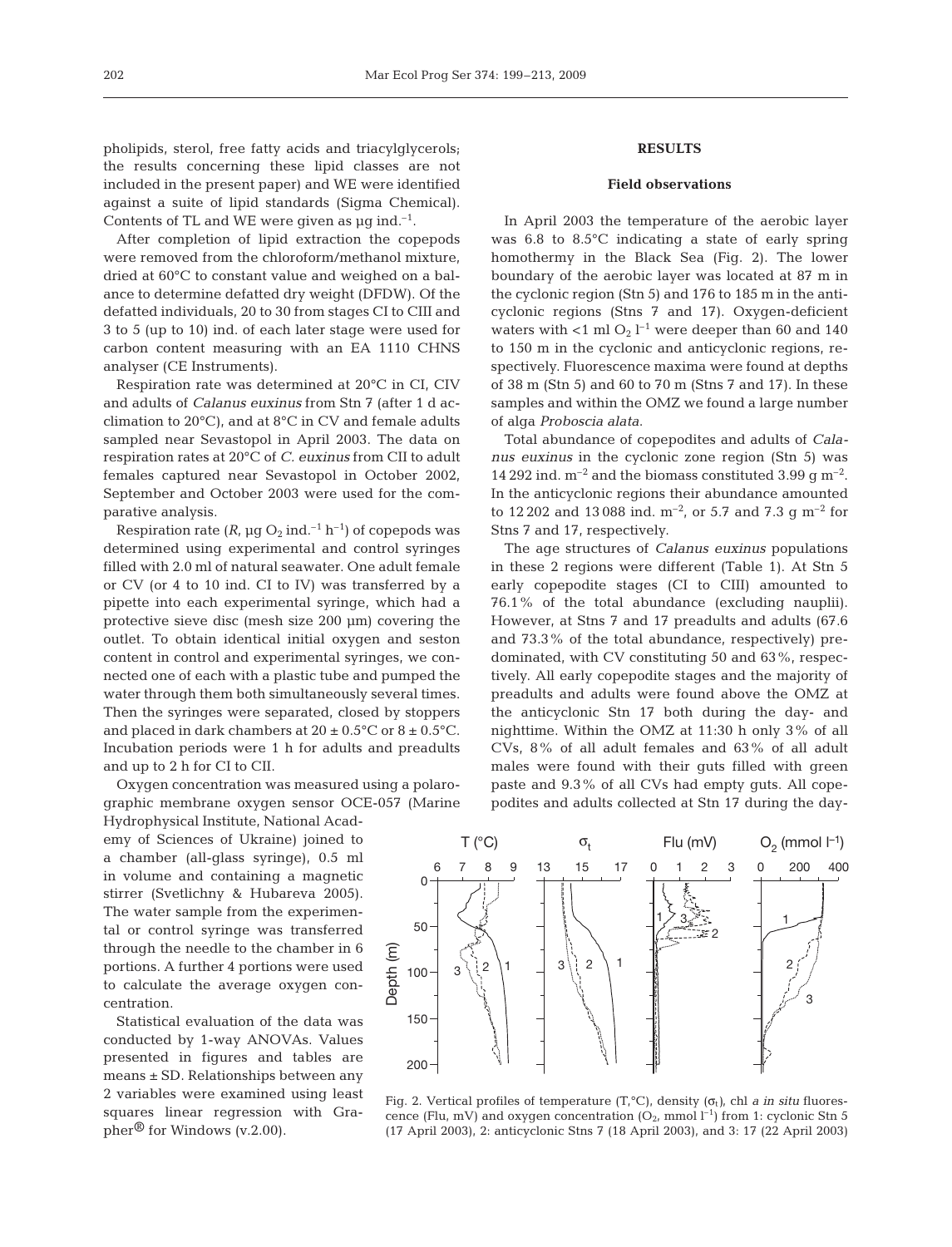pholipids, sterol, free fatty acids and triacylglycerols; the results concerning these lipid classes are not included in the present paper) and WE were identified against a suite of lipid standards (Sigma Chemical). Contents of TL and WE were given as  $\mu$ g ind.<sup>-1</sup>.

After completion of lipid extraction the copepods were removed from the chloroform/methanol mixture, dried at 60°C to constant value and weighed on a balance to determine defatted dry weight (DFDW). Of the defatted individuals, 20 to 30 from stages CI to CIII and 3 to 5 (up to 10) ind. of each later stage were used for carbon content measuring with an EA 1110 CHNS analyser (CE Instruments).

Respiration rate was determined at 20°C in CI, CIV and adults of *Calanus euxinus* from Stn 7 (after 1 d acclimation to 20°C), and at 8°C in CV and female adults sampled near Sevastopol in April 2003. The data on respiration rates at 20°C of *C. euxinus* from CII to adult females captured near Sevastopol in October 2002, September and October 2003 were used for the comparative analysis.

Respiration rate  $(R, \mu g O_2 \text{ ind.}^{-1} h^{-1})$  of copepods was determined using experimental and control syringes filled with 2.0 ml of natural seawater. One adult female or CV (or 4 to 10 ind. CI to IV) was transferred by a pipette into each experimental syringe, which had a protective sieve disc (mesh size 200 µm) covering the outlet. To obtain identical initial oxygen and seston content in control and experimental syringes, we connected one of each with a plastic tube and pumped the water through them both simultaneously several times. Then the syringes were separated, closed by stoppers and placed in dark chambers at  $20 \pm 0.5^{\circ}$ C or  $8 \pm 0.5^{\circ}$ C. Incubation periods were 1 h for adults and preadults and up to 2 h for CI to CII.

Oxygen concentration was measured using a polarographic membrane oxygen sensor OCE-057 (Marine

Hydrophysical Institute, National Academy of Sciences of Ukraine) joined to a chamber (all-glass syringe), 0.5 ml in volume and containing a magnetic stirrer (Svetlichny & Hubareva 2005). The water sample from the experimental or control syringe was transferred through the needle to the chamber in 6 portions. A further 4 portions were used to calculate the average oxygen concentration.

Statistical evaluation of the data was conducted by 1-way ANOVAs. Values presented in figures and tables are means ± SD. Relationships between any 2 variables were examined using least squares linear regression with Grapher® for Windows (v.2.00).

# **RESULTS**

#### **Field observations**

In April 2003 the temperature of the aerobic layer was 6.8 to 8.5°C indicating a state of early spring homothermy in the Black Sea (Fig. 2). The lower boundary of the aerobic layer was located at 87 m in the cyclonic region (Stn 5) and 176 to 185 m in the anticyclonic regions (Stns 7 and 17). Oxygen-deficient waters with  $<$ 1 ml O<sub>2</sub> l<sup>-1</sup> were deeper than 60 and 140 to 150 m in the cyclonic and anticyclonic regions, respectively. Fluorescence maxima were found at depths of 38 m (Stn 5) and 60 to 70 m (Stns 7 and 17). In these samples and within the OMZ we found a large number of alga *Proboscia alata*.

Total abundance of copepodites and adults of *Calanus euxinus* in the cyclonic zone region (Stn 5) was 14 292 ind.  $m^{-2}$  and the biomass constituted 3.99 g  $m^{-2}$ . In the anticyclonic regions their abundance amounted to 12 202 and 13 088 ind.  $m^{-2}$ , or 5.7 and 7.3 g  $m^{-2}$  for Stns 7 and 17, respectively.

The age structures of *Calanus euxinus* populations in these 2 regions were different (Table 1). At Stn 5 early copepodite stages (CI to CIII) amounted to 76.1% of the total abundance (excluding nauplii). However, at Stns 7 and 17 preadults and adults (67.6 and 73.3% of the total abundance, respectively) predominated, with CV constituting 50 and 63%, respectively. All early copepodite stages and the majority of preadults and adults were found above the OMZ at the anticyclonic Stn 17 both during the day- and nighttime. Within the OMZ at 11:30 h only 3% of all CVs, 8% of all adult females and 63% of all adult males were found with their guts filled with green paste and 9.3% of all CVs had empty guts. All copepodites and adults collected at Stn 17 during the day-



Fig. 2. Vertical profiles of temperature (T,<sup>o</sup>C), density (σ<sub>t</sub>), chl *a in situ* fluorescence (Flu, mV) and oxygen concentration  $(O_{2}$ , mmol  $I^{-1}$ ) from 1: cyclonic Stn 5 (17 April 2003), 2: anticyclonic Stns 7 (18 April 2003), and 3: 17 (22 April 2003)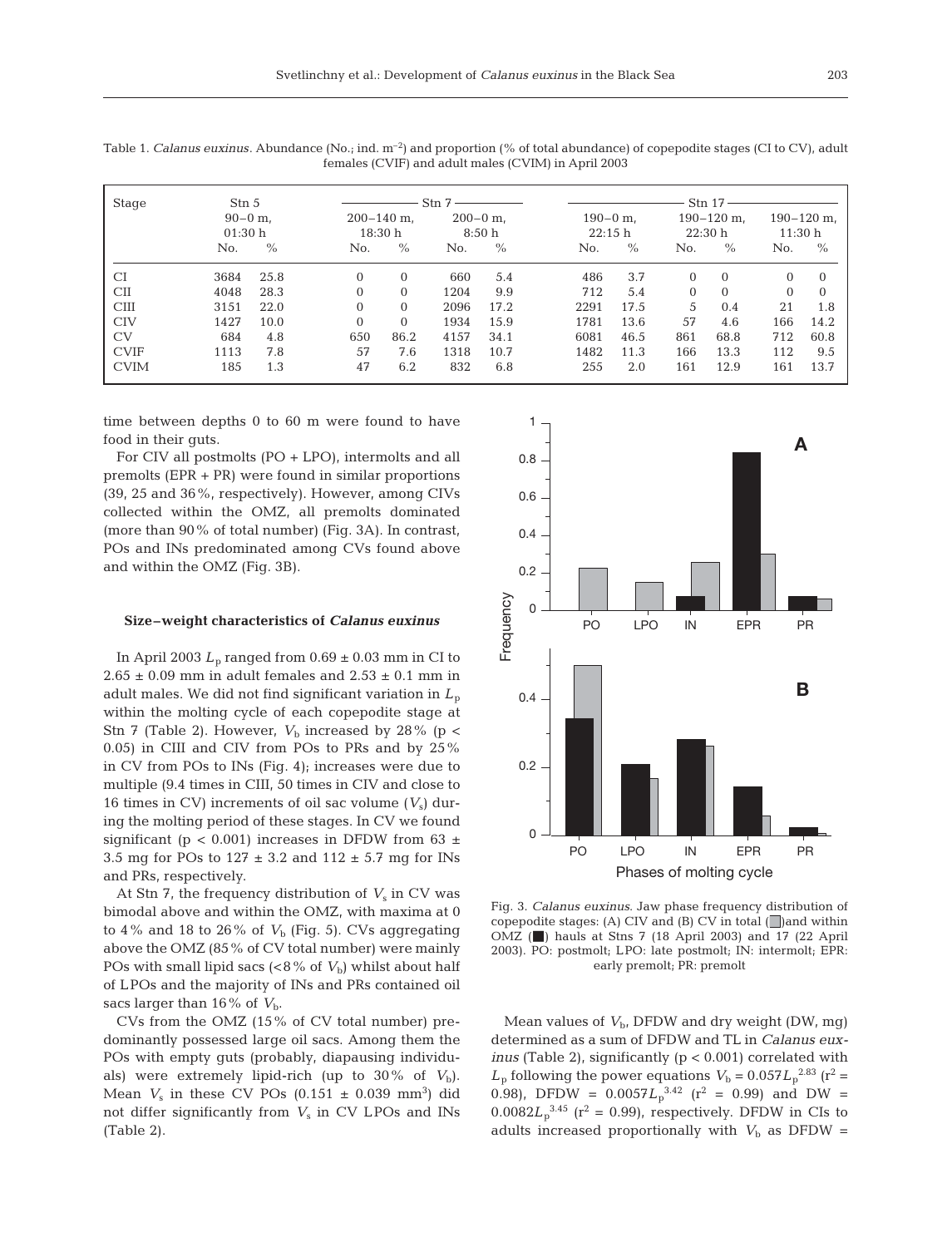| Stage       | Stn 5<br>$90-0$ m.<br>01:30h |      | $\operatorname{Stn} 7$    |                |                     |      |                        | Stn 17 |                           |          |                          |          |  |
|-------------|------------------------------|------|---------------------------|----------------|---------------------|------|------------------------|--------|---------------------------|----------|--------------------------|----------|--|
|             |                              |      | $200 - 140$ m,<br>18:30 h |                | $200-0$ m.<br>8:50h |      | $190 - 0$ m.<br>22:15h |        | $190 - 120$ m.<br>22:30 h |          | $190 - 120$ m.<br>11:30h |          |  |
|             |                              |      |                           |                |                     |      |                        |        |                           |          |                          |          |  |
|             | No.                          | $\%$ | No.                       | $\frac{0}{0}$  | No.                 | $\%$ | No.                    | $\%$   | No.                       | $\%$     | No.                      | $\%$     |  |
| <b>CI</b>   | 3684                         | 25.8 | $\Omega$                  | $\overline{0}$ | 660                 | 5.4  | 486                    | 3.7    | $\Omega$                  | $\Omega$ | 0                        | $\Omega$ |  |
| <b>CII</b>  | 4048                         | 28.3 | $\Omega$                  | $\Omega$       | 1204                | 9.9  | 712                    | 5.4    | $\Omega$                  | $\Omega$ | $\Omega$                 | $\Omega$ |  |
| <b>CIII</b> | 3151                         | 22.0 | $\Omega$                  | $\Omega$       | 2096                | 17.2 | 2291                   | 17.5   | 5                         | 0.4      | 21                       | 1.8      |  |
| <b>CIV</b>  | 1427                         | 10.0 | $\Omega$                  | $\Omega$       | 1934                | 15.9 | 1781                   | 13.6   | 57                        | 4.6      | 166                      | 14.2     |  |
| CV          | 684                          | 4.8  | 650                       | 86.2           | 4157                | 34.1 | 6081                   | 46.5   | 861                       | 68.8     | 712                      | 60.8     |  |
| <b>CVIF</b> | 1113                         | 7.8  | 57                        | 7.6            | 1318                | 10.7 | 1482                   | 11.3   | 166                       | 13.3     | 112                      | 9.5      |  |
| <b>CVIM</b> | 185                          | 1.3  | 47                        | 6.2            | 832                 | 6.8  | 255                    | 2.0    | 161                       | 12.9     | 161                      | 13.7     |  |

Table 1. *Calanus euxinus*. Abundance (No.; ind. m<sup>-2</sup>) and proportion (% of total abundance) of copepodite stages (CI to CV), adult females (CVIF) and adult males (CVIM) in April 2003

time between depths 0 to 60 m were found to have food in their guts.

For CIV all postmolts (PO + LPO), intermolts and all premolts (EPR + PR) were found in similar proportions (39, 25 and 36%, respectively). However, among CIVs collected within the OMZ, all premolts dominated (more than 90% of total number) (Fig. 3A). In contrast, POs and INs predominated among CVs found above and within the OMZ (Fig. 3B).

#### **Size–weight characteristics of** *Calanus euxinus*

In April 2003  $L_p$  ranged from  $0.69 \pm 0.03$  mm in CI to  $2.65 \pm 0.09$  mm in adult females and  $2.53 \pm 0.1$  mm in adult males. We did not find significant variation in *L*<sup>p</sup> within the molting cycle of each copepodite stage at Stn 7 (Table 2). However,  $V<sub>b</sub>$  increased by 28% (p < 0.05) in CIII and CIV from POs to PRs and by 25% in CV from POs to INs (Fig. 4); increases were due to multiple (9.4 times in CIII, 50 times in CIV and close to 16 times in CV) increments of oil sac volume  $(V<sub>s</sub>)$  during the molting period of these stages. In CV we found significant ( $p < 0.001$ ) increases in DFDW from 63  $\pm$ 3.5 mg for POs to  $127 \pm 3.2$  and  $112 \pm 5.7$  mg for INs and PRs, respectively.

At Stn 7, the frequency distribution of  $V_s$  in CV was bimodal above and within the OMZ, with maxima at 0 to 4% and 18 to 26% of  $V<sub>b</sub>$  (Fig. 5). CVs aggregating above the OMZ (85% of CV total number) were mainly POs with small lipid sacs  $(<8\%$  of  $V<sub>b</sub>$ ) whilst about half of LPOs and the majority of INs and PRs contained oil sacs larger than  $16\%$  of  $V<sub>b</sub>$ .

CVs from the OMZ (15% of CV total number) predominantly possessed large oil sacs. Among them the POs with empty guts (probably, diapausing individuals) were extremely lipid-rich (up to  $30\%$  of  $V<sub>b</sub>$ ). Mean  $V_s$  in these CV POs  $(0.151 \pm 0.039 \text{ mm}^3)$  did not differ significantly from  $V<sub>s</sub>$  in CV LPOs and INs (Table 2).



Fig. 3. *Calanus euxinus*. Jaw phase frequency distribution of copepodite stages: (A) CIV and (B) CV in total  $\Box$  and within OMZ (a) hauls at Stns 7 (18 April 2003) and 17 (22 April 2003). PO: postmolt; LPO: late postmolt; IN: intermolt; EPR: early premolt; PR: premolt

Mean values of  $V_{\rm b}$ , DFDW and dry weight (DW, mg) determined as a sum of DFDW and TL in *Calanus euxinus* (Table 2), significantly (p < 0.001) correlated with  $L_p$  following the power equations  $V_b = 0.057 L_p^{2.83}$  (r<sup>2</sup> = 0.98), DFDW =  $0.0057L_p^{3.42}$  ( $r^2 = 0.99$ ) and DW =  $0.0082L_p^{3.45}$  ( $r^2 = 0.99$ ), respectively. DFDW in CIs to adults increased proportionally with  $V<sub>b</sub>$  as DFDW =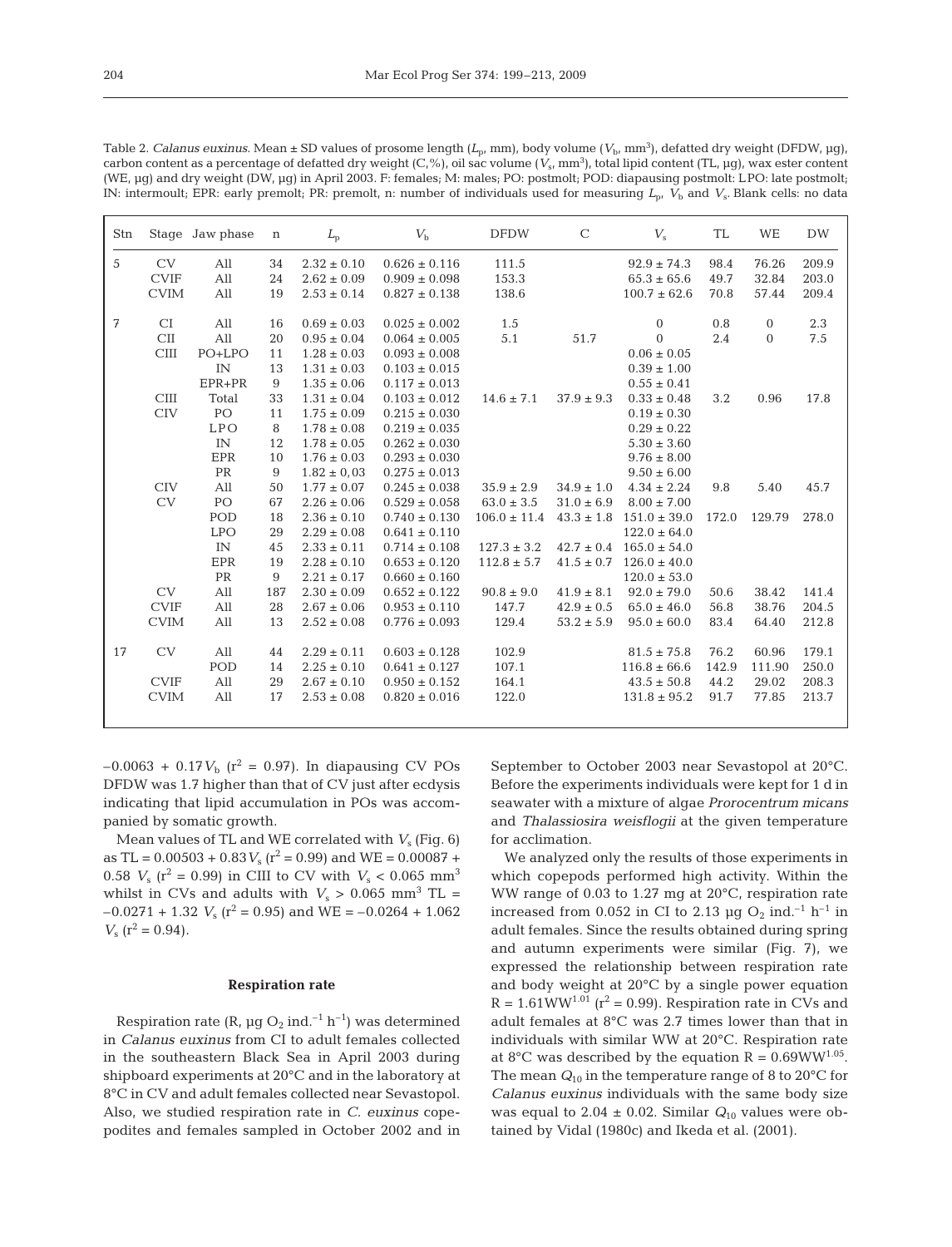| Stn |             | Stage Jaw phase | $\mathbf n$ | $L_{\rm p}$     | $V_{\rm h}$       | <b>DFDW</b>      | $\mathsf{C}$   | $V_{\rm s}$      | <b>TL</b> | WE             | <b>DW</b> |
|-----|-------------|-----------------|-------------|-----------------|-------------------|------------------|----------------|------------------|-----------|----------------|-----------|
| 5   | CV          | All             | 34          | $2.32 \pm 0.10$ | $0.626 \pm 0.116$ | 111.5            |                | $92.9 \pm 74.3$  | 98.4      | 76.26          | 209.9     |
|     | <b>CVIF</b> | All             | 24          | $2.62 \pm 0.09$ | $0.909 \pm 0.098$ | 153.3            |                | $65.3 \pm 65.6$  | 49.7      | 32.84          | 203.0     |
|     | <b>CVIM</b> | All             | 19          | $2.53 \pm 0.14$ | $0.827 \pm 0.138$ | 138.6            |                | $100.7 \pm 62.6$ | 70.8      | 57.44          | 209.4     |
| 7   | CI          | All             | 16          | $0.69 \pm 0.03$ | $0.025 \pm 0.002$ | 1.5              |                | $\boldsymbol{0}$ | 0.8       | $\overline{0}$ | 2.3       |
|     | <b>CII</b>  | All             | 20          | $0.95 \pm 0.04$ | $0.064 \pm 0.005$ | 5.1              | 51.7           | $\Omega$         | 2.4       | $\Omega$       | 7.5       |
|     | CIII        | PO+LPO          | 11          | $1.28 \pm 0.03$ | $0.093 \pm 0.008$ |                  |                | $0.06 \pm 0.05$  |           |                |           |
|     |             | IN              | 13          | $1.31 \pm 0.03$ | $0.103 \pm 0.015$ |                  |                | $0.39 \pm 1.00$  |           |                |           |
|     |             | EPR+PR          | 9           | $1.35 \pm 0.06$ | $0.117 \pm 0.013$ |                  |                | $0.55 \pm 0.41$  |           |                |           |
|     | CIII        | Total           | 33          | $1.31 \pm 0.04$ | $0.103 \pm 0.012$ | $14.6 \pm 7.1$   | $37.9 \pm 9.3$ | $0.33 \pm 0.48$  | 3.2       | 0.96           | 17.8      |
|     | <b>CIV</b>  | PO              | 11          | $1.75 \pm 0.09$ | $0.215 \pm 0.030$ |                  |                | $0.19 \pm 0.30$  |           |                |           |
|     |             | <b>LPO</b>      | 8           | $1.78 \pm 0.08$ | $0.219 \pm 0.035$ |                  |                | $0.29 \pm 0.22$  |           |                |           |
|     |             | IN              | 12          | $1.78 \pm 0.05$ | $0.262 \pm 0.030$ |                  |                | $5.30 \pm 3.60$  |           |                |           |
|     |             | EPR             | 10          | $1.76\pm0.03$   | $0.293 \pm 0.030$ |                  |                | $9.76 \pm 8.00$  |           |                |           |
|     |             | PR              | 9           | $1.82 \pm 0.03$ | $0.275 \pm 0.013$ |                  |                | $9.50 \pm 6.00$  |           |                |           |
|     | <b>CIV</b>  | All             | 50          | $1.77 \pm 0.07$ | $0.245 \pm 0.038$ | $35.9 \pm 2.9$   | $34.9 \pm 1.0$ | $4.34 \pm 2.24$  | 9.8       | 5.40           | 45.7      |
|     | <b>CV</b>   | PO              | 67          | $2.26 \pm 0.06$ | $0.529 \pm 0.058$ | $63.0 \pm 3.5$   | $31.0 \pm 6.9$ | $8.00 \pm 7.00$  |           |                |           |
|     |             | POD             | 18          | $2.36 \pm 0.10$ | $0.740 \pm 0.130$ | $106.0 \pm 11.4$ | $43.3 \pm 1.8$ | $151.0 \pm 39.0$ | 172.0     | 129.79         | 278.0     |
|     |             | <b>LPO</b>      | 29          | $2.29 \pm 0.08$ | $0.641 \pm 0.110$ |                  |                | $122.0 \pm 64.0$ |           |                |           |
|     |             | IN              | 45          | $2.33 \pm 0.11$ | $0.714 \pm 0.108$ | $127.3 \pm 3.2$  | $42.7 \pm 0.4$ | $165.0 \pm 54.0$ |           |                |           |
|     |             | EPR             | 19          | $2.28 \pm 0.10$ | $0.653 \pm 0.120$ | $112.8 \pm 5.7$  | $41.5 \pm 0.7$ | $126.0 \pm 40.0$ |           |                |           |
|     |             | <b>PR</b>       | 9           | $2.21 \pm 0.17$ | $0.660 \pm 0.160$ |                  |                | $120.0 \pm 53.0$ |           |                |           |
|     | CV          | All             | 187         | $2.30 \pm 0.09$ | $0.652 \pm 0.122$ | $90.8 \pm 9.0$   | $41.9 \pm 8.1$ | $92.0 \pm 79.0$  | 50.6      | 38.42          | 141.4     |
|     | <b>CVIF</b> | All             | 28          | $2.67 \pm 0.06$ | $0.953 \pm 0.110$ | 147.7            | $42.9 \pm 0.5$ | $65.0 \pm 46.0$  | 56.8      | 38.76          | 204.5     |
|     | <b>CVIM</b> | All             | 13          | $2.52 \pm 0.08$ | $0.776 \pm 0.093$ | 129.4            | $53.2 \pm 5.9$ | $95.0 \pm 60.0$  | 83.4      | 64.40          | 212.8     |
| 17  | <b>CV</b>   | All             | 44          | $2.29 \pm 0.11$ | $0.603 \pm 0.128$ | 102.9            |                | $81.5 \pm 75.8$  | 76.2      | 60.96          | 179.1     |
|     |             | POD             | 14          | $2.25\pm0.10$   | $0.641 \pm 0.127$ | 107.1            |                | $116.8 \pm 66.6$ | 142.9     | 111.90         | 250.0     |
|     | <b>CVIF</b> | All             | 29          | $2.67 \pm 0.10$ | $0.950 \pm 0.152$ | 164.1            |                | $43.5 \pm 50.8$  | 44.2      | 29.02          | 208.3     |
|     | <b>CVIM</b> | All             | 17          | $2.53 \pm 0.08$ | $0.820 \pm 0.016$ | 122.0            |                | $131.8 \pm 95.2$ | 91.7      | 77.85          | 213.7     |
|     |             |                 |             |                 |                   |                  |                |                  |           |                |           |

Table 2. *Calanus euxinus*. Mean ± SD values of prosome length (*L*p, mm), body volume (*V*b, mm3 ), defatted dry weight (DFDW, µg), carbon content as a percentage of defatted dry weight (C,%), oil sac volume (*V*s, mm3 ), total lipid content (TL, µg), wax ester content (WE, µg) and dry weight (DW, µg) in April 2003. F: females; M: males; PO: postmolt; POD: diapausing postmolt: LPO: late postmolt; IN: intermoult; EPR: early premolt; PR: premolt, n: number of individuals used for measuring *L*p, *V*<sup>b</sup> and *V*s. Blank cells: no data

 $-0.0063 + 0.17V_b$  ( $r^2 = 0.97$ ). In diapausing CV POs DFDW was 1.7 higher than that of CV just after ecdysis indicating that lipid accumulation in POs was accompanied by somatic growth.

Mean values of TL and WE correlated with *V*<sup>s</sup> (Fig. 6) as TL =  $0.00503 + 0.83 V_s$  ( $r^2 = 0.99$ ) and WE =  $0.00087 +$ 0.58  $V_s$  ( $r^2$  = 0.99) in CIII to CV with  $V_s$  < 0.065 mm<sup>3</sup> whilst in CVs and adults with  $V_s > 0.065$  mm<sup>3</sup> TL =  $-0.0271 + 1.32$  *V<sub>s</sub>* ( $r^2 = 0.95$ ) and WE =  $-0.0264 + 1.062$  $V_s$  ( $r^2$  = 0.94).

## **Respiration rate**

Respiration rate (R,  $\mu$ g O<sub>2</sub> ind.<sup>-1</sup> h<sup>-1</sup>) was determined in *Calanus euxinus* from CI to adult females collected in the southeastern Black Sea in April 2003 during shipboard experiments at 20°C and in the laboratory at 8°C in CV and adult females collected near Sevastopol. Also, we studied respiration rate in *C. euxinus* copepodites and females sampled in October 2002 and in September to October 2003 near Sevastopol at 20°C. Before the experiments individuals were kept for 1 d in seawater with a mixture of algae *Prorocentrum micans* and *Thalassiosira weisflogii* at the given temperature for acclimation.

We analyzed only the results of those experiments in which copepods performed high activity. Within the WW range of 0.03 to 1.27 mg at 20°C, respiration rate increased from 0.052 in CI to 2.13 µg  $O_2$  ind.<sup>-1</sup> h<sup>-1</sup> in adult females. Since the results obtained during spring and autumn experiments were similar (Fig. 7), we expressed the relationship between respiration rate and body weight at 20°C by a single power equation  $R = 1.61WW^{1.01}$  ( $r^2 = 0.99$ ). Respiration rate in CVs and adult females at 8°C was 2.7 times lower than that in individuals with similar WW at 20°C. Respiration rate at 8°C was described by the equation R =  $0.69WW^{1.05}$ . The mean *Q*<sup>10</sup> in the temperature range of 8 to 20°C for *Calanus euxinus* individuals with the same body size was equal to 2.04  $\pm$  0.02. Similar  $Q_{10}$  values were obtained by Vidal (1980c) and Ikeda et al. (2001).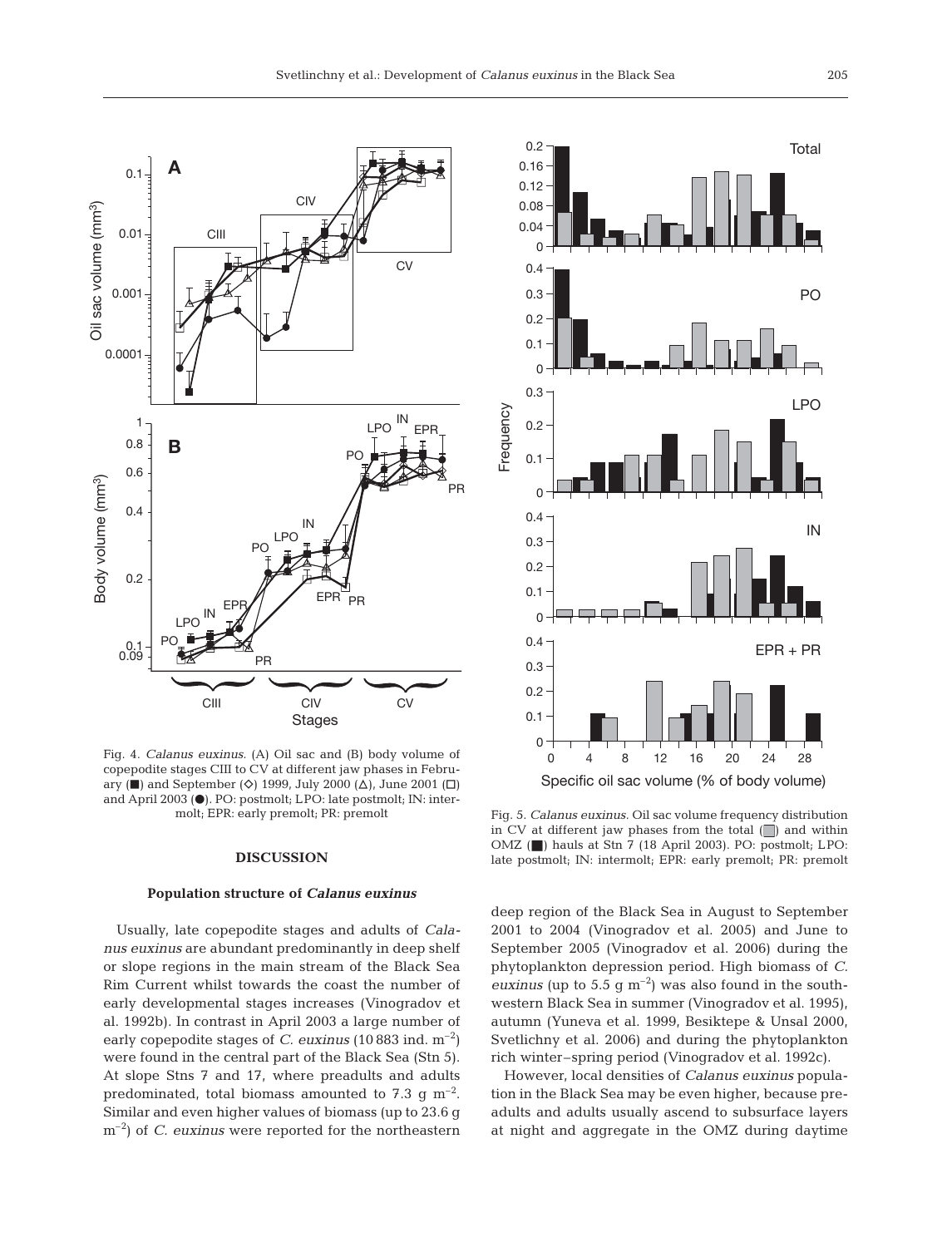

Fig. 4. *Calanus euxinus.* (A) Oil sac and (B) body volume of copepodite stages CIII to CV at different jaw phases in February ( $\blacksquare$ ) and September ( $\diamond$ ) 1999, July 2000 ( $\triangle$ ), June 2001 ( $\square$ ) and April 2003 (.). PO: postmolt; LPO: late postmolt; IN: intermolt; EPR: early premolt; PR: premolt

## **DISCUSSION**

#### **Population structure of** *Calanus euxinus*

Usually, late copepodite stages and adults of *Calanus euxinus* are abundant predominantly in deep shelf or slope regions in the main stream of the Black Sea Rim Current whilst towards the coast the number of early developmental stages increases (Vinogradov et al. 1992b). In contrast in April 2003 a large number of early copepodite stages of *C. euxinus* (10 883 ind. m–2) were found in the central part of the Black Sea (Stn 5). At slope Stns 7 and 17, where preadults and adults predominated, total biomass amounted to 7.3 g  $m^{-2}$ . Similar and even higher values of biomass (up to 23.6 g m–2) of *C. euxinus* were reported for the northeastern



Fig. 5. *Calanus euxinus.* Oil sac volume frequency distribution in CV at different jaw phases from the total  $\Box$ ) and within OMZ ( $\Box$ ) hauls at Stn 7 (18 April 2003). PO: postmolt; LPO: late postmolt; IN: intermolt; EPR: early premolt; PR: premolt

deep region of the Black Sea in August to September 2001 to 2004 (Vinogradov et al. 2005) and June to September 2005 (Vinogradov et al. 2006) during the phytoplankton depression period. High biomass of *C. euxinus* (up to 5.5 g  $\text{m}^{-2}$ ) was also found in the southwestern Black Sea in summer (Vinogradov et al. 1995), autumn (Yuneva et al. 1999, Besiktepe & Unsal 2000, Svetlichny et al. 2006) and during the phytoplankton rich winter–spring period (Vinogradov et al. 1992c).

However, local densities of *Calanus euxinus* population in the Black Sea may be even higher, because preadults and adults usually ascend to subsurface layers at night and aggregate in the OMZ during daytime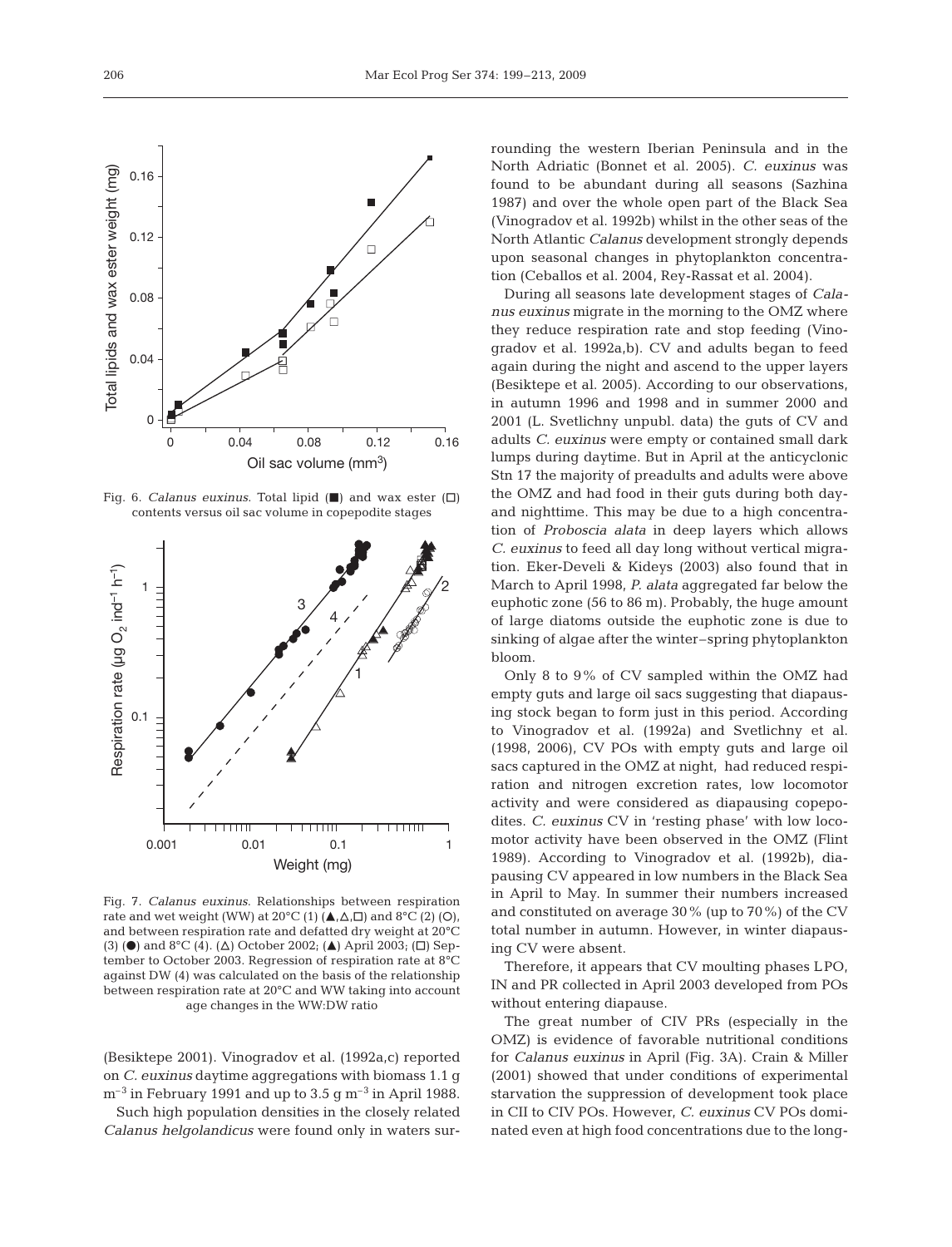

0 0.04 0.08 0.12 0.16 Oil sac volume (mm3)

 $\Box$ 



Fig. 7. *Calanus euxinus*. Relationships between respiration rate and wet weight (WW) at  $20^{\circ}C(1)$  ( $\blacktriangle$ , $\triangle$ , $\square$ ) and  $8^{\circ}C(2)$  (O), and between respiration rate and defatted dry weight at 20°C (3) ( $\bullet$ ) and 8°C (4). ( $\Delta$ ) October 2002; ( $\blacktriangle$ ) April 2003; ( $\Box$ ) September to October 2003. Regression of respiration rate at 8°C against DW (4) was calculated on the basis of the relationship between respiration rate at 20°C and WW taking into account age changes in the WW:DW ratio

(Besiktepe 2001). Vinogradov et al. (1992a,c) reported on *C. euxinus* daytime aggregations with biomass 1.1 g  $\mathrm{m}^{-3}$  in February 1991 and up to 3.5 g  $\mathrm{m}^{-3}$  in April 1988.

Such high population densities in the closely related *Calanus helgolandicus* were found only in waters surrounding the western Iberian Peninsula and in the North Adriatic (Bonnet et al. 2005). *C. euxinus* was found to be abundant during all seasons (Sazhina 1987) and over the whole open part of the Black Sea (Vinogradov et al. 1992b) whilst in the other seas of the North Atlantic *Calanus* development strongly depends upon seasonal changes in phytoplankton concentration (Ceballos et al. 2004, Rey-Rassat et al. 2004).

During all seasons late development stages of *Calanus euxinus* migrate in the morning to the OMZ where they reduce respiration rate and stop feeding (Vinogradov et al. 1992a,b). CV and adults began to feed again during the night and ascend to the upper layers (Besiktepe et al. 2005). According to our observations, in autumn 1996 and 1998 and in summer 2000 and 2001 (L. Svetlichny unpubl. data) the guts of CV and adults *C. euxinus* were empty or contained small dark lumps during daytime. But in April at the anticyclonic Stn 17 the majority of preadults and adults were above the OMZ and had food in their guts during both dayand nighttime. This may be due to a high concentration of *Proboscia alata* in deep layers which allows *C. euxinus* to feed all day long without vertical migration. Eker-Develi & Kideys (2003) also found that in March to April 1998, *P. alata* aggregated far below the euphotic zone (56 to 86 m). Probably, the huge amount of large diatoms outside the euphotic zone is due to sinking of algae after the winter–spring phytoplankton bloom.

Only 8 to 9% of CV sampled within the OMZ had empty guts and large oil sacs suggesting that diapausing stock began to form just in this period. According to Vinogradov et al. (1992a) and Svetlichny et al. (1998, 2006), CV POs with empty guts and large oil sacs captured in the OMZ at night, had reduced respiration and nitrogen excretion rates, low locomotor activity and were considered as diapausing copepodites. *C. euxinus* CV in 'resting phase' with low locomotor activity have been observed in the OMZ (Flint 1989). According to Vinogradov et al. (1992b), diapausing CV appeared in low numbers in the Black Sea in April to May. In summer their numbers increased and constituted on average 30% (up to 70%) of the CV total number in autumn. However, in winter diapausing CV were absent.

Therefore, it appears that CV moulting phases LPO, IN and PR collected in April 2003 developed from POs without entering diapause.

The great number of CIV PRs (especially in the OMZ) is evidence of favorable nutritional conditions for *Calanus euxinus* in April (Fig. 3A). Crain & Miller (2001) showed that under conditions of experimental starvation the suppression of development took place in CII to CIV POs. However, *C. euxinus* CV POs dominated even at high food concentrations due to the long-

0

0.04

0.08

Total lipids and wax ester weight (mg)

Total lipids and wax ester weight (mg)

0.12

0.16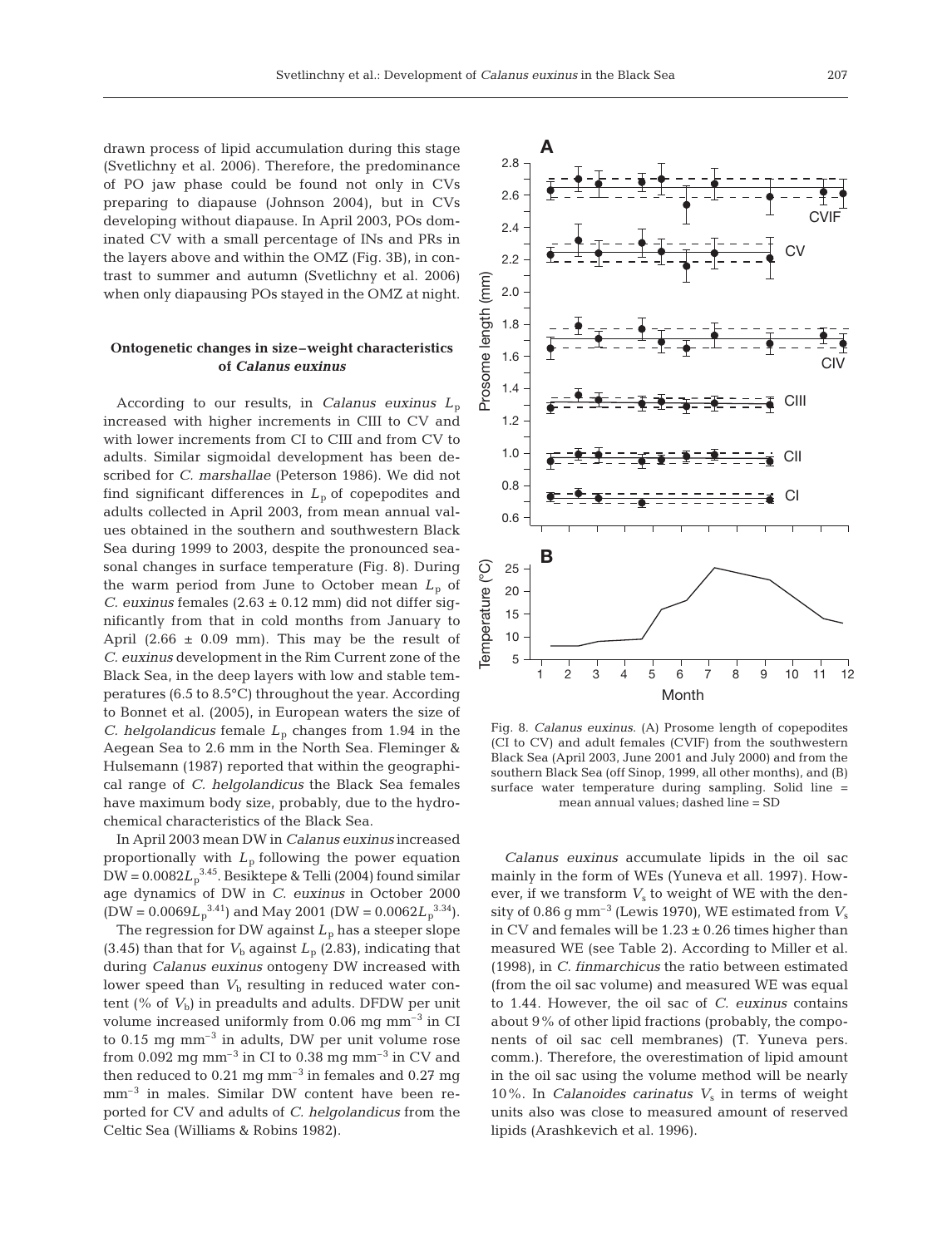drawn process of lipid accumulation during this stage (Svetlichny et al. 2006). Therefore, the predominance of PO jaw phase could be found not only in CVs preparing to diapause (Johnson 2004), but in CVs developing without diapause. In April 2003, POs dominated CV with a small percentage of INs and PRs in the layers above and within the OMZ (Fig. 3B), in contrast to summer and autumn (Svetlichny et al. 2006) when only diapausing POs stayed in the OMZ at night.

## **Ontogenetic changes in size–weight characteristics of** *Calanus euxinus*

According to our results, in *Calanus euxinus L*<sup>p</sup> increased with higher increments in CIII to CV and with lower increments from CI to CIII and from CV to adults. Similar sigmoidal development has been described for *C. marshallae* (Peterson 1986). We did not find significant differences in  $L_p$  of copepodites and adults collected in April 2003, from mean annual values obtained in the southern and southwestern Black Sea during 1999 to 2003, despite the pronounced seasonal changes in surface temperature (Fig. 8). During the warm period from June to October mean  $L_p$  of *C. euxinus* females  $(2.63 \pm 0.12 \text{ mm})$  did not differ significantly from that in cold months from January to April  $(2.66 \pm 0.09 \text{ mm})$ . This may be the result of *C. euxinus* development in the Rim Current zone of the Black Sea, in the deep layers with low and stable temperatures (6.5 to 8.5°C) throughout the year. According to Bonnet et al. (2005), in European waters the size of *C. helgolandicus* female  $L_p$  changes from 1.94 in the Aegean Sea to 2.6 mm in the North Sea. Fleminger & Hulsemann (1987) reported that within the geographical range of *C. helgolandicus* the Black Sea females have maximum body size, probably, due to the hydrochemical characteristics of the Black Sea.

In April 2003 mean DW in *Calanus euxinus* increased proportionally with *L*p following the power equation  $\rm{DW}$  = 0.0082 $L_{\rm p}^{\rm 3.45}$ . Besiktepe & Telli (2004) found similar age dynamics of DW in *C. euxinus* in October 2000  $(DW = 0.0069L_p^{3.41})$  and May 2001 (DW =  $0.0062L_p^{3.34}$ ). The regression for DW against  $L<sub>p</sub>$  has a steeper slope (3.45) than that for  $V<sub>b</sub>$  against  $L<sub>p</sub>$  (2.83), indicating that during *Calanus euxinus* ontogeny DW increased with lower speed than  $V<sub>b</sub>$  resulting in reduced water content ( $%$  of  $V<sub>b</sub>$ ) in preadults and adults. DFDW per unit volume increased uniformly from  $0.06$  mg mm<sup>-3</sup> in CI to  $0.15$  mg mm<sup>-3</sup> in adults, DW per unit volume rose from 0.092 mg mm<sup>-3</sup> in CI to 0.38 mg mm<sup>-3</sup> in CV and then reduced to  $0.21$  mg mm<sup>-3</sup> in females and  $0.27$  mg mm–3 in males. Similar DW content have been reported for CV and adults of *C. helgolandicus* from the Celtic Sea (Williams & Robins 1982).



Fig. 8. *Calanus euxinus*. (A) Prosome length of copepodites (CI to CV) and adult females (CVIF) from the southwestern Black Sea (April 2003, June 2001 and July 2000) and from the southern Black Sea (off Sinop, 1999, all other months), and (B) surface water temperature during sampling. Solid line = mean annual values; dashed line = SD

*Calanus euxinus* accumulate lipids in the oil sac mainly in the form of WEs (Yuneva et all. 1997). However, if we transform  $V<sub>s</sub>$  to weight of WE with the density of 0.86 g mm<sup>-3</sup> (Lewis 1970), WE estimated from  $V_s$ in CV and females will be  $1.23 \pm 0.26$  times higher than measured WE (see Table 2). According to Miller et al. (1998), in *C. finmarchicus* the ratio between estimated (from the oil sac volume) and measured WE was equal to 1.44. However, the oil sac of *C. euxinus* contains about 9% of other lipid fractions (probably, the components of oil sac cell membranes) (T. Yuneva pers. comm.). Therefore, the overestimation of lipid amount in the oil sac using the volume method will be nearly 10%. In *Calanoides carinatus*  $V_s$  in terms of weight units also was close to measured amount of reserved lipids (Arashkevich et al. 1996).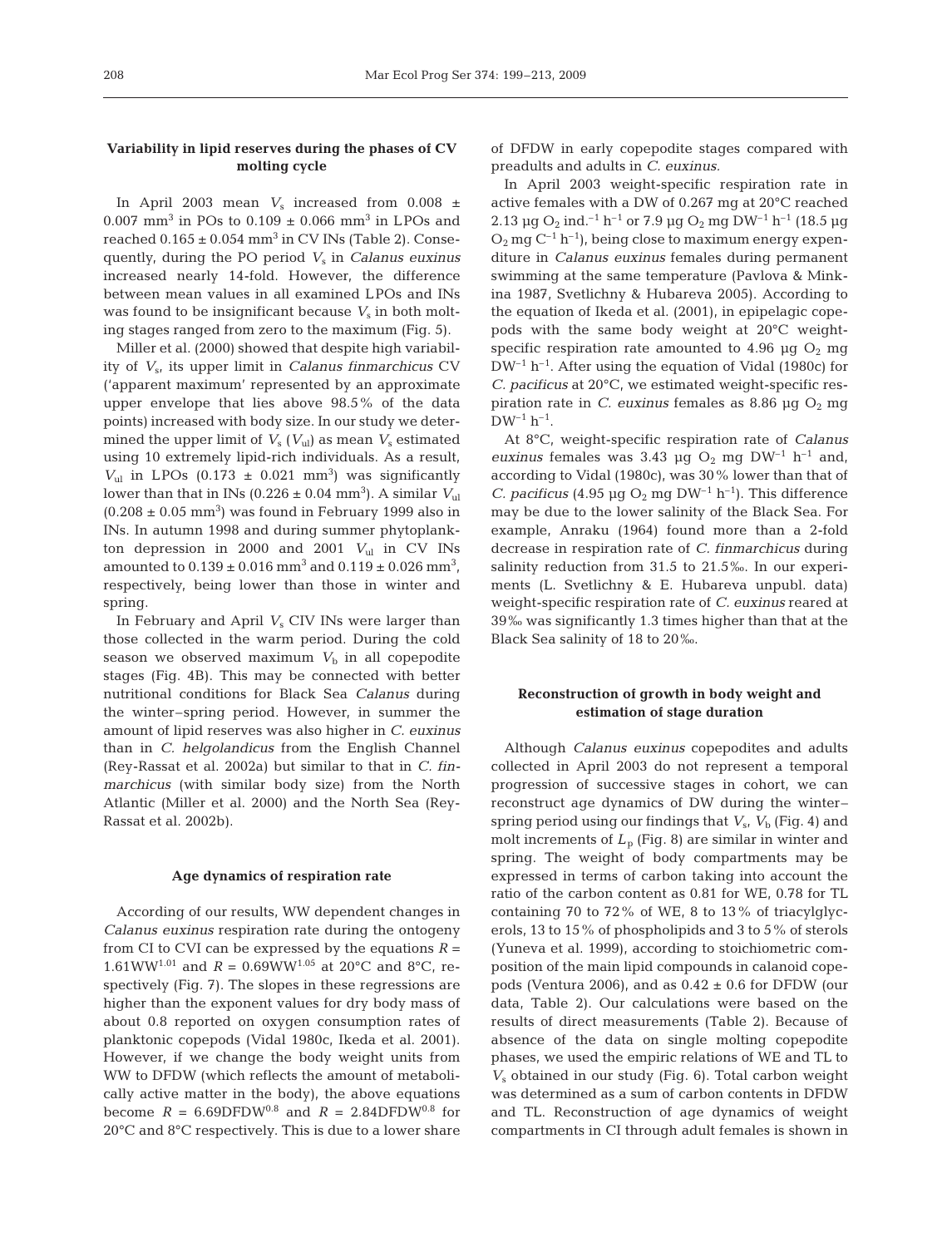# **Variability in lipid reserves during the phases of CV molting cycle**

In April 2003 mean  $V_s$  increased from 0.008  $\pm$ 0.007 mm<sup>3</sup> in POs to  $0.109 \pm 0.066$  mm<sup>3</sup> in LPOs and reached  $0.165 \pm 0.054$  mm<sup>3</sup> in CV INs (Table 2). Consequently, during the PO period *V*<sup>s</sup> in *Calanus euxinus* increased nearly 14-fold. However, the difference between mean values in all examined LPOs and INs was found to be insignificant because  $V_s$  in both molting stages ranged from zero to the maximum (Fig. 5).

Miller et al. (2000) showed that despite high variability of *V*s, its upper limit in *Calanus finmarchicus* CV ('apparent maximum' represented by an approximate upper envelope that lies above 98.5% of the data points) increased with body size. In our study we determined the upper limit of  $V_s$  ( $V_{ul}$ ) as mean  $V_s$  estimated using 10 extremely lipid-rich individuals. As a result,  $V_{ul}$  in LPOs (0.173  $\pm$  0.021 mm<sup>3</sup>) was significantly lower than that in INs  $(0.226 \pm 0.04 \text{ mm}^3)$ . A similar  $V_{ul}$  $(0.208 \pm 0.05 \text{ mm}^3)$  was found in February 1999 also in INs. In autumn 1998 and during summer phytoplankton depression in 2000 and 2001  $V_{ul}$  in CV INs amounted to  $0.139 \pm 0.016$  mm<sup>3</sup> and  $0.119 \pm 0.026$  mm<sup>3</sup>, respectively, being lower than those in winter and spring.

In February and April *V*<sub>s</sub> CIV INs were larger than those collected in the warm period. During the cold season we observed maximum  $V<sub>b</sub>$  in all copepodite stages (Fig. 4B). This may be connected with better nutritional conditions for Black Sea *Calanus* during the winter–spring period. However, in summer the amount of lipid reserves was also higher in *C. euxinus* than in *C. helgolandicus* from the English Channel (Rey-Rassat et al. 2002a) but similar to that in *C. finmarchicus* (with similar body size) from the North Atlantic (Miller et al. 2000) and the North Sea (Rey-Rassat et al. 2002b).

#### **Age dynamics of respiration rate**

According of our results, WW dependent changes in *Calanus euxinus* respiration rate during the ontogeny from CI to CVI can be expressed by the equations  $R =$ 1.61WW<sup>1.01</sup> and  $R = 0.69$ WW<sup>1.05</sup> at 20°C and 8°C, respectively (Fig. 7). The slopes in these regressions are higher than the exponent values for dry body mass of about 0.8 reported on oxygen consumption rates of planktonic copepods (Vidal 1980c, Ikeda et al. 2001). However, if we change the body weight units from WW to DFDW (which reflects the amount of metabolically active matter in the body), the above equations become  $R = 6.69DFDW^{0.8}$  and  $R = 2.84DFDW^{0.8}$  for 20°C and 8°C respectively. This is due to a lower share

of DFDW in early copepodite stages compared with preadults and adults in *C. euxinus.*

In April 2003 weight-specific respiration rate in active females with a DW of 0.267 mg at 20°C reached 2.13 µg O<sub>2</sub> ind.<sup>-1</sup> h<sup>-1</sup> or 7.9 µg O<sub>2</sub> mg DW<sup>-1</sup> h<sup>-1</sup> (18.5 µg  $O_2$  mg  $C^{-1}$  h<sup>-1</sup>), being close to maximum energy expenditure in *Calanus euxinus* females during permanent swimming at the same temperature (Pavlova & Minkina 1987, Svetlichny & Hubareva 2005). According to the equation of Ikeda et al. (2001), in epipelagic copepods with the same body weight at 20°C weightspecific respiration rate amounted to 4.96  $\mu$ g O<sub>2</sub> mg  $DW^{-1}$  h<sup>-1</sup>. After using the equation of Vidal (1980c) for *C. pacificus* at 20°C, we estimated weight-specific respiration rate in *C. euxinus* females as 8.86  $\mu$ g O<sub>2</sub> mg  $DW^{-1}$   $h^{-1}$ .

At 8°C, weight-specific respiration rate of *Calanus euxinus* females was 3.43 µg  $O_2$  mg  $DW^{-1}$   $h^{-1}$  and, according to Vidal (1980c), was 30% lower than that of *C. pacificus* (4.95 µg  $O_2$  mg  $DW^{-1}$  h<sup>-1</sup>). This difference may be due to the lower salinity of the Black Sea. For example, Anraku (1964) found more than a 2-fold decrease in respiration rate of *C. finmarchicus* during salinity reduction from 31.5 to 21.5‰. In our experiments (L. Svetlichny & E. Hubareva unpubl. data) weight-specific respiration rate of *C. euxinus* reared at 39‰ was significantly 1.3 times higher than that at the Black Sea salinity of 18 to 20‰.

# **Reconstruction of growth in body weight and estimation of stage duration**

Although *Calanus euxinus* copepodites and adults collected in April 2003 do not represent a temporal progression of successive stages in cohort, we can reconstruct age dynamics of DW during the winter– spring period using our findings that  $V_{\rm s}$ ,  $V_{\rm b}$  (Fig. 4) and molt increments of  $L_p$  (Fig. 8) are similar in winter and spring. The weight of body compartments may be expressed in terms of carbon taking into account the ratio of the carbon content as 0.81 for WE, 0.78 for TL containing 70 to 72% of WE, 8 to 13% of triacylglycerols, 13 to 15% of phospholipids and 3 to 5% of sterols (Yuneva et al. 1999), according to stoichiometric composition of the main lipid compounds in calanoid copepods (Ventura 2006), and as  $0.42 \pm 0.6$  for DFDW (our data, Table 2). Our calculations were based on the results of direct measurements (Table 2). Because of absence of the data on single molting copepodite phases, we used the empiric relations of WE and TL to *V*<sup>s</sup> obtained in our study (Fig. 6). Total carbon weight was determined as a sum of carbon contents in DFDW and TL. Reconstruction of age dynamics of weight compartments in CI through adult females is shown in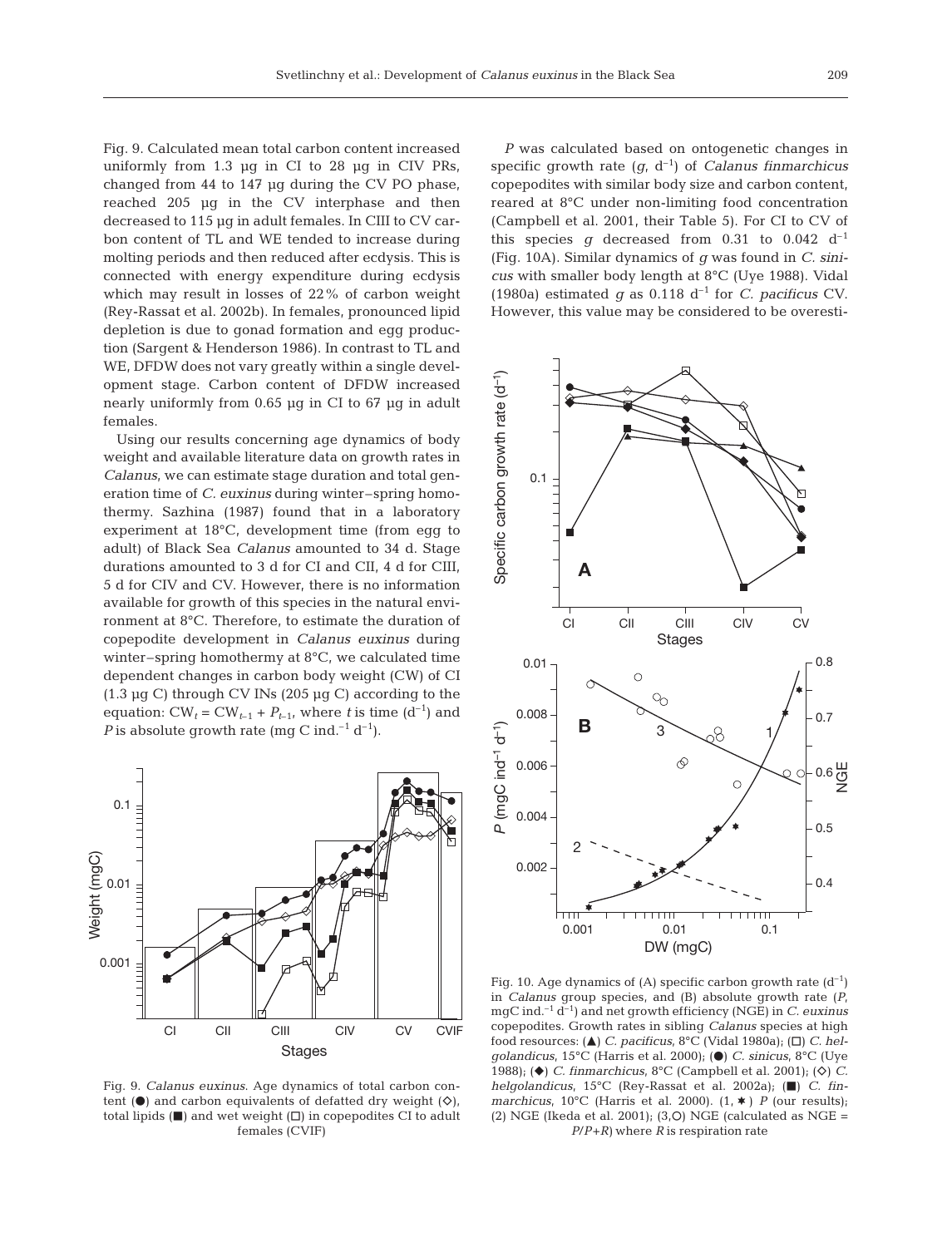Fig. 9. Calculated mean total carbon content increased uniformly from 1.3 µg in CI to 28 µg in CIV PRs, changed from 44 to 147 µg during the CV PO phase, reached 205 µg in the CV interphase and then decreased to 115 µg in adult females. In CIII to CV carbon content of TL and WE tended to increase during molting periods and then reduced after ecdysis. This is connected with energy expenditure during ecdysis which may result in losses of 22% of carbon weight (Rey-Rassat et al. 2002b). In females, pronounced lipid depletion is due to gonad formation and egg production (Sargent & Henderson 1986). In contrast to TL and WE, DFDW does not vary greatly within a single development stage. Carbon content of DFDW increased nearly uniformly from 0.65 µg in CI to 67 µg in adult females.

Using our results concerning age dynamics of body weight and available literature data on growth rates in *Calanus*, we can estimate stage duration and total generation time of *C. euxinus* during winter–spring homothermy. Sazhina (1987) found that in a laboratory experiment at 18°C, development time (from egg to adult) of Black Sea *Calanus* amounted to 34 d. Stage durations amounted to 3 d for CI and CII, 4 d for CIII, 5 d for CIV and CV. However, there is no information available for growth of this species in the natural environment at 8°C. Therefore, to estimate the duration of copepodite development in *Calanus euxinus* during winter–spring homothermy at 8°C, we calculated time dependent changes in carbon body weight (CW) of CI  $(1.3 \mu g C)$  through CV INs  $(205 \mu g C)$  according to the equation:  $CW_t = CW_{t-1} + P_{t-1}$ , where *t* is time (d<sup>-1</sup>) and *P* is absolute growth rate (mg C ind.<sup>-1</sup> d<sup>-1</sup>).



Fig. 9. *Calanus euxinus*. Age dynamics of total carbon content ( $\bullet$ ) and carbon equivalents of defatted dry weight ( $\diamond$ ), total lipids  $(\blacksquare)$  and wet weight  $(\square)$  in copepodites CI to adult females (CVIF)

*P* was calculated based on ontogenetic changes in specific growth rate  $(q, d^{-1})$  of *Calanus finmarchicus* copepodites with similar body size and carbon content, reared at 8°C under non-limiting food concentration (Campbell et al. 2001, their Table 5). For CI to CV of this species  $g$  decreased from 0.31 to 0.042 d<sup>-1</sup> (Fig. 10A). Similar dynamics of *g* was found in *C. sinicus* with smaller body length at 8°C (Uye 1988). Vidal (1980a) estimated  $q$  as 0.118 d<sup>-1</sup> for *C. pacificus* CV. However, this value may be considered to be overesti-



Fig. 10. Age dynamics of (A) specific carbon growth rate  $(d^{-1})$ in *Calanus* group species, and (B) absolute growth rate (*P*, mgC ind.–1 d–1) and net growth efficiency (NGE) in *C. euxinus* copepodites. Growth rates in sibling *Calanus* species at high food resources: (▲) *C. pacificus*, 8°C (Vidal 1980a); (□) *C. helgolandicus*, 15°C (Harris et al. 2000); (●) *C. sinicus*, 8°C (Uye 1988); (◆) *C. finmarchicus*, 8°C (Campbell et al. 2001); (◇) *C. helgolandicus*, 15°C (Rey-Rassat et al. 2002a); ( $\Box$ ) *C. finmarchicus*, 10°C (Harris et al. 2000). (1, ★) *P* (our results);<br>(2) NGE (Ikeda et al. 2001); (3,O) NGE (calculated as NGE = *P*/*P*+*R)* where *R* is respiration rate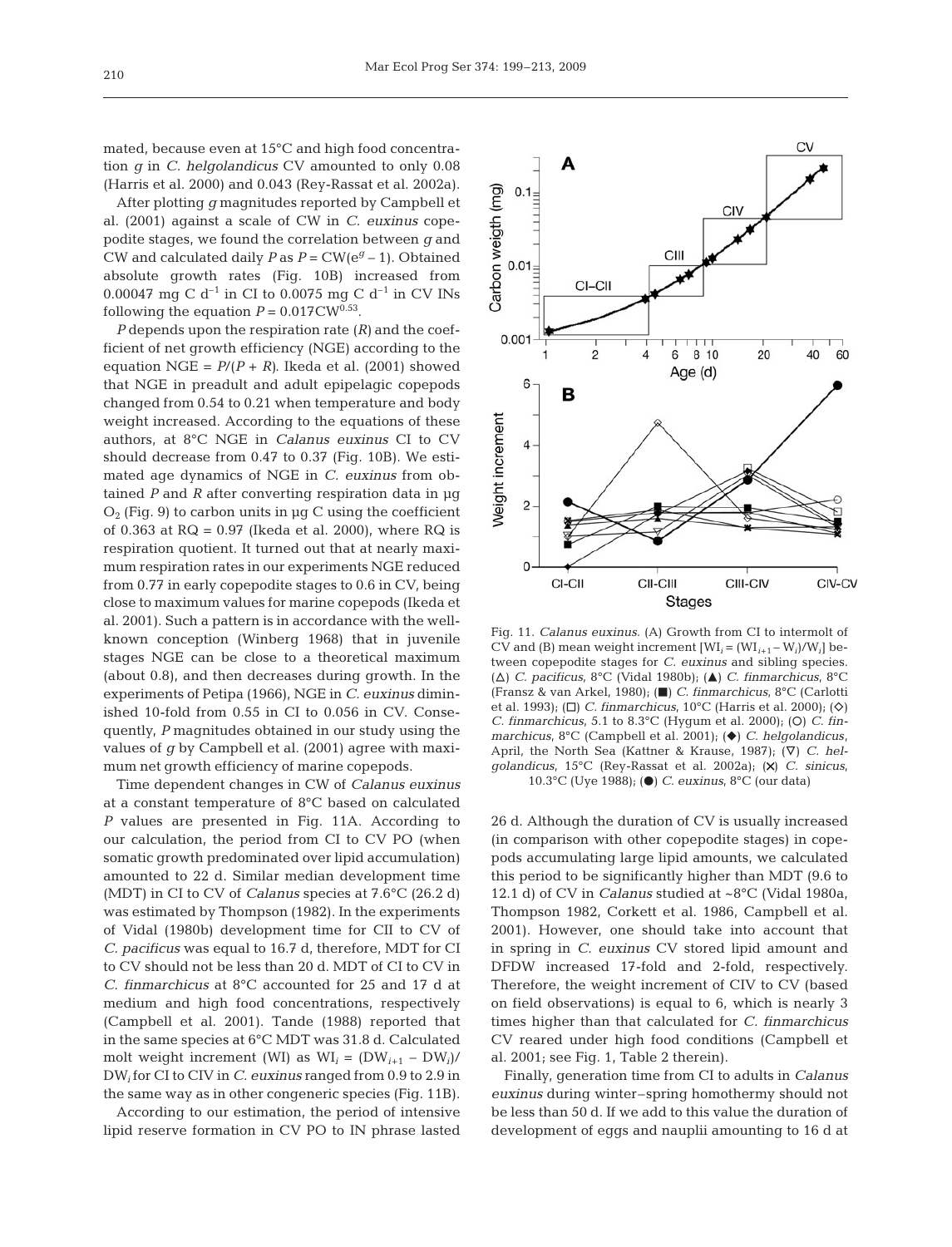mated, because even at 15°C and high food concentration *g* in *C. helgolandicus* CV amounted to only 0.08 (Harris et al. 2000) and 0.043 (Rey-Rassat et al. 2002a).

After plotting *g* magnitudes reported by Campbell et al. (2001) against a scale of CW in *C. euxinus* copepodite stages, we found the correlation between *g* and CW and calculated daily  $P$  as  $P = CW(e^g - 1)$ . Obtained absolute growth rates (Fig. 10B) increased from 0.00047 mg C d<sup>-1</sup> in CI to 0.0075 mg C d<sup>-1</sup> in CV INs following the equation  $P = 0.017 \text{CW}^{0.53}$ .

*P* depends upon the respiration rate (*R)* and the coefficient of net growth efficiency (NGE) according to the equation NGE =  $P/(P + R)$ . Ikeda et al. (2001) showed that NGE in preadult and adult epipelagic copepods changed from 0.54 to 0.21 when temperature and body weight increased. According to the equations of these authors, at 8°C NGE in *Calanus euxinus* CI to CV should decrease from 0.47 to 0.37 (Fig. 10B). We estimated age dynamics of NGE in *C. euxinus* from obtained *P* and *R* after converting respiration data in µg  $O_2$  (Fig. 9) to carbon units in  $\mu$ g C using the coefficient of 0.363 at  $RQ = 0.97$  (Ikeda et al. 2000), where  $RQ$  is respiration quotient. It turned out that at nearly maximum respiration rates in our experiments NGE reduced from 0.77 in early copepodite stages to 0.6 in CV, being close to maximum values for marine copepods (Ikeda et al. 2001). Such a pattern is in accordance with the wellknown conception (Winberg 1968) that in juvenile stages NGE can be close to a theoretical maximum (about 0.8), and then decreases during growth. In the experiments of Petipa (1966), NGE in *C. euxinus* diminished 10-fold from 0.55 in CI to 0.056 in CV. Consequently, *P* magnitudes obtained in our study using the values of *g* by Campbell et al. (2001) agree with maximum net growth efficiency of marine copepods.

Time dependent changes in CW of *Calanus euxinus* at a constant temperature of 8°C based on calculated *P* values are presented in Fig. 11A. According to our calculation, the period from CI to CV PO (when somatic growth predominated over lipid accumulation) amounted to 22 d. Similar median development time (MDT) in CI to CV of *Calanus* species at 7.6°C (26.2 d) was estimated by Thompson (1982). In the experiments of Vidal (1980b) development time for CII to CV of *C. pacificus* was equal to 16.7 d, therefore, MDT for CI to CV should not be less than 20 d. MDT of CI to CV in *C. finmarchicus* at 8°C accounted for 25 and 17 d at medium and high food concentrations, respectively (Campbell et al. 2001). Tande (1988) reported that in the same species at 6°C MDT was 31.8 d. Calculated molt weight increment (WI) as  $WI_i = (DW_{i+1} - DW_i)$ / DW*<sup>i</sup>* for CI to CIV in *C. euxinus* ranged from 0.9 to 2.9 in the same way as in other congeneric species (Fig. 11B).

According to our estimation, the period of intensive lipid reserve formation in CV PO to IN phrase lasted



Fig. 11. *Calanus euxinus.* (A) Growth from CI to intermolt of CV and (B) mean weight increment  $[WI_i = (WI_{i+1} - Wi) / Wi_i]$  between copepodite stages for *C. euxinus* and sibling species. (△) *C. pacificus*, 8°C (Vidal 1980b); (▲) *C. finmarchicus*, 8°C (Fransz & van Arkel, 1980); (j) *C. finmarchicus*, 8°C (Carlotti et al. 1993); (□) *C. finmarchicus*, 10°C (Harris et al. 2000); (◇) *C. finmarchicus*, 5.1 to 8.3°C (Hygum et al. 2000); (O) *C. finmarchicus*, 8°C (Campbell et al. 2001); (♦) *C. helgolandicus*, April, the North Sea (Kattner & Krause, 1987); ( $\nabla$ ) *C. helgolandicus*, 15°C (Rey-Rassat et al. 2002a); (×) *C. sinicus*, 10.3°C (Uye 1988); (d) *C. euxinus*, 8°C (our data)

26 d. Although the duration of CV is usually increased (in comparison with other copepodite stages) in copepods accumulating large lipid amounts, we calculated this period to be significantly higher than MDT (9.6 to 12.1 d) of CV in *Calanus* studied at ~8°C (Vidal 1980a, Thompson 1982, Corkett et al. 1986, Campbell et al. 2001). However, one should take into account that in spring in *C. euxinus* CV stored lipid amount and DFDW increased 17-fold and 2-fold, respectively. Therefore, the weight increment of CIV to CV (based on field observations) is equal to 6, which is nearly 3 times higher than that calculated for *C. finmarchicus* CV reared under high food conditions (Campbell et al. 2001; see Fig. 1, Table 2 therein).

Finally, generation time from CI to adults in *Calanus euxinus* during winter–spring homothermy should not be less than 50 d. If we add to this value the duration of development of eggs and nauplii amounting to 16 d at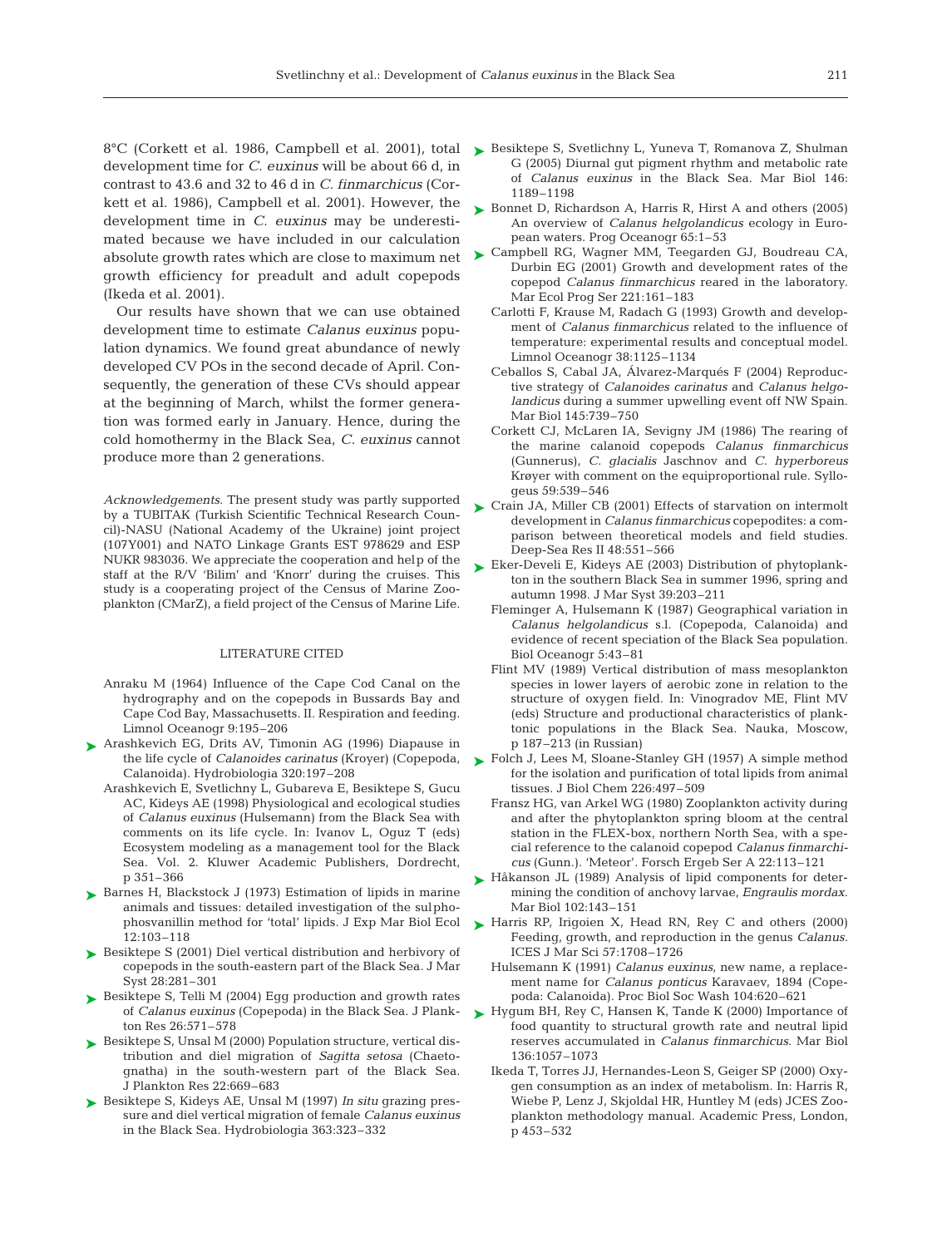development time for *C. euxinus* will be about 66 d, in contrast to 43.6 and 32 to 46 d in *C. finmarchicus* (Corkett et al. 1986), Campbell et al. 2001). However, the development time in *C. euxinus* may be underestimated because we have included in our calculation absolute growth rates which are close to maximum net growth efficiency for preadult and adult copepods (Ikeda et al. 2001).

Our results have shown that we can use obtained development time to estimate *Calanus euxinus* population dynamics. We found great abundance of newly developed CV POs in the second decade of April. Consequently, the generation of these CVs should appear at the beginning of March, whilst the former generation was formed early in January. Hence, during the cold homothermy in the Black Sea, *C. euxinus* cannot produce more than 2 generations.

*Acknowledgements.* The present study was partly supported by a TUBITAK (Turkish Scientific Technical Research Council)-NASU (National Academy of the Ukraine) joint project (107Y001) and NATO Linkage Grants EST 978629 and ESP NUKR 983036. We appreciate the cooperation and help of the staff at the R/V 'Bilim' and 'Knorr' during the cruises. This study is a cooperating project of the Census of Marine Zooplankton (CMarZ), a field project of the Census of Marine Life.

## LITERATURE CITED

- Anraku M (1964) Influence of the Cape Cod Canal on the hydrography and on the copepods in Bussards Bay and Cape Cod Bay, Massachusetts. II. Respiration and feeding. Limnol Oceanogr 9:195–206
- ▶ Arashkevich EG, Drits AV, Timonin AG (1996) Diapause in the life cycle of *Calanoides carinatus* (Kroyer) (Copepoda, Calanoida). Hydrobiologia 320:197–208
	- Arashkevich E, Svetlichny L, Gubareva E, Besiktepe S, Gucu AC, Kideys AE (1998) Physiological and ecological studies of *Calanus euxinus* (Hulsemann) from the Black Sea with comments on its life cycle. In: Ivanov L, Oguz T (eds) Ecosystem modeling as a management tool for the Black Sea. Vol. 2. Kluwer Academic Publishers, Dordrecht, p 351–366
- ► Barnes H, Blackstock J (1973) Estimation of lipids in marine animals and tissues: detailed investigation of the sulphophosvanillin method for 'total' lipids. J Exp Mar Biol Ecol 12:103–118
- ▶ Besiktepe S (2001) Diel vertical distribution and herbivory of copepods in the south-eastern part of the Black Sea. J Mar Syst 28:281–301
- ► Besiktepe S, Telli M (2004) Egg production and growth rates of *Calanus euxinus* (Copepoda) in the Black Sea. J Plankton Res 26:571–578
- ▶ Besiktepe S, Unsal M (2000) Population structure, vertical distribution and diel migration of *Sagitta setosa* (Chaetognatha) in the south-western part of the Black Sea. J Plankton Res 22:669–683
- ► Besiktepe S, Kideys AE, Unsal M (1997) *In situ* grazing pressure and diel vertical migration of female *Calanus euxinus* in the Black Sea. Hydrobiologia 363:323–332
- 8°C (Corkett et al. 1986, Campbell et al. 2001), total  $\triangleright$  Besiktepe S, Svetlichny L, Yuneva T, Romanova Z, Shulman G (2005) Diurnal gut pigment rhythm and metabolic rate of *Calanus euxinus* in the Black Sea. Mar Biol 146: 1189–1198
	- ► Bonnet D, Richardson A, Harris R, Hirst A and others (2005) An overview of *Calanus helgolandicus* ecology in European waters. Prog Oceanogr 65:1–53
	- ► Campbell RG, Wagner MM, Teegarden GJ, Boudreau CA, Durbin EG (2001) Growth and development rates of the copepod *Calanus finmarchicus* reared in the laboratory. Mar Ecol Prog Ser 221:161–183
		- Carlotti F, Krause M, Radach G (1993) Growth and development of *Calanus finmarchicus* related to the influence of temperature: experimental results and conceptual model. Limnol Oceanogr 38:1125–1134
		- Ceballos S, Cabal JA, Álvarez-Marqués F (2004) Reproductive strategy of *Calanoides carinatus* and *Calanus helgolandicus* during a summer upwelling event off NW Spain. Mar Biol 145:739–750
		- Corkett CJ, McLaren IA, Sevigny JM (1986) The rearing of the marine calanoid copepods *Calanus finmarchicus* (Gunnerus), *C. glacialis* Jaschnov and *C. hyperboreus* Krøyer with comment on the equiproportional rule. Syllogeus 59:539–546
	- ► Crain JA, Miller CB (2001) Effects of starvation on intermolt development in *Calanus finmarchicus* copepodites: a comparison between theoretical models and field studies. Deep-Sea Res II 48:551–566
	- ► Eker-Develi E, Kideys AE (2003) Distribution of phytoplankton in the southern Black Sea in summer 1996, spring and autumn 1998. J Mar Syst 39:203–211
		- Fleminger A, Hulsemann K (1987) Geographical variation in *Calanus helgolandicus* s.l. (Copepoda, Calanoida) and evidence of recent speciation of the Black Sea population. Biol Oceanogr 5:43–81
		- Flint MV (1989) Vertical distribution of mass mesoplankton species in lower layers of aerobic zone in relation to the structure of oxygen field. In: Vinogradov ME, Flint MV (eds) Structure and productional characteristics of planktonic populations in the Black Sea. Nauka, Moscow, p 187–213 (in Russian)
	- ► Folch J, Lees M, Sloane-Stanley GH (1957) A simple method for the isolation and purification of total lipids from animal tissues. J Biol Chem 226:497–509
		- Fransz HG, van Arkel WG (1980) Zooplankton activity during and after the phytoplankton spring bloom at the central station in the FLEX-box, northern North Sea, with a special reference to the calanoid copepod *Calanus finmarchicus* (Gunn.). 'Meteor'. Forsch Ergeb Ser A 22:113–121
	- ► Håkanson JL (1989) Analysis of lipid components for determining the condition of anchovy larvae, *Engraulis mordax*. Mar Biol 102:143–151
	- ► Harris RP, Irigoien X, Head RN, Rey C and others (2000) Feeding, growth, and reproduction in the genus *Calanus.* ICES J Mar Sci 57:1708–1726
		- Hulsemann K (1991) *Calanus euxinus*, new name, a replacement name for *Calanus ponticus* Karavaev, 1894 (Copepoda: Calanoida). Proc Biol Soc Wash 104:620–621
	- ► Hygum BH, Rey C, Hansen K, Tande K (2000) Importance of food quantity to structural growth rate and neutral lipid reserves accumulated in *Calanus finmarchicus*. Mar Biol 136:1057–1073
		- Ikeda T, Torres JJ, Hernandes-Leon S, Geiger SP (2000) Oxygen consumption as an index of metabolism. In: Harris R, Wiebe P, Lenz J, Skjoldal HR, Huntley M (eds) JCES Zooplankton methodology manual. Academic Press, London, p 453–532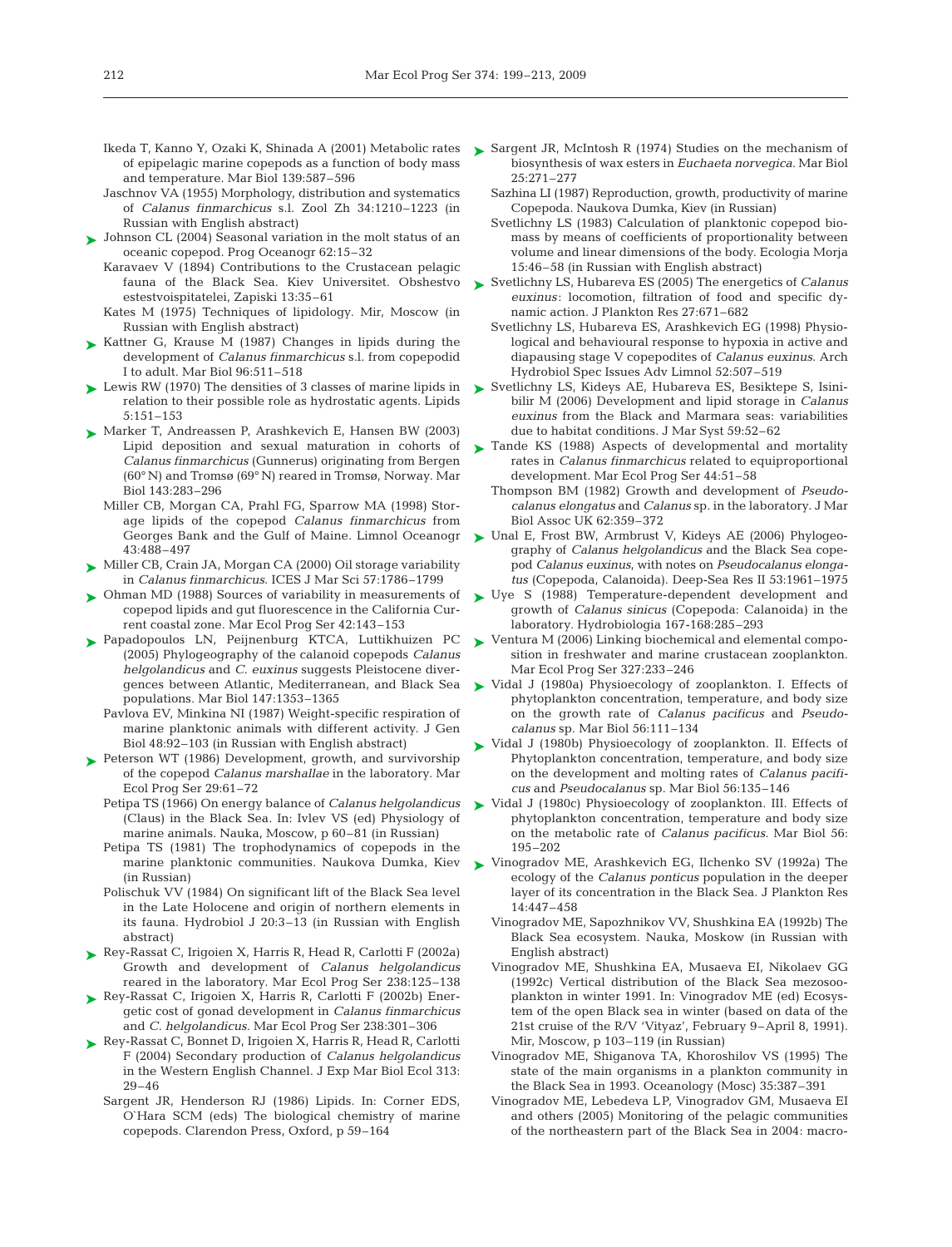- Ikeda T, Kanno Y, Ozaki K, Shinada A (2001) Metabolic rates of epipelagic marine copepods as a function of body mass and temperature. Mar Biol 139:587–596
- Jaschnov VA (1955) Morphology, distribution and systematics of *Calanus finmarchicus* s.l. Zool Zh 34:1210–1223 (in Russian with English abstract)
- ► Johnson CL (2004) Seasonal variation in the molt status of an oceanic copepod. Prog Oceanogr 62:15–32
	- Karavaev V (1894) Contributions to the Crustacean pelagic fauna of the Black Sea. Kiev Universitet. Obshestvo estestvoispitatelei, Zapiski 13:35–61
	- Kates M (1975) Techniques of lipidology. Mir, Moscow (in Russian with English abstract)
- ► Kattner G, Krause M (1987) Changes in lipids during the development of *Calanus finmarchicus* s.l. from copepodid I to adult. Mar Biol 96:511–518
- ► Lewis RW (1970) The densities of 3 classes of marine lipids in relation to their possible role as hydrostatic agents. Lipids 5:151–153
- ► Marker T, Andreassen P, Arashkevich E, Hansen BW (2003) Lipid deposition and sexual maturation in cohorts of *Calanus finmarchicus* (Gunnerus) originating from Bergen (60° N) and Tromsø (69° N) reared in Tromsø, Norway. Mar Biol 143:283–296
	- Miller CB, Morgan CA, Prahl FG, Sparrow MA (1998) Storage lipids of the copepod *Calanus finmarchicus* from Georges Bank and the Gulf of Maine. Limnol Oceanogr 43:488–497
- ► Miller CB, Crain JA, Morgan CA (2000) Oil storage variability in *Calanus finmarchicus*. ICES J Mar Sci 57:1786–1799
- Ohman MD (1988) Sources of variability in measurements of ➤ copepod lipids and gut fluorescence in the California Current coastal zone. Mar Ecol Prog Ser 42:143–153
- Papadopoulos LN, Peijnenburg KTCA, Luttikhuizen PC ➤ (2005) Phylogeography of the calanoid copepods *Calanus helgolandicus* and *C. euxinus* suggests Pleistocene diverpopulations. Mar Biol 147:1353–1365
	- Pavlova EV, Minkina NI (1987) Weight-specific respiration of marine planktonic animals with different activity. J Gen Biol 48:92–103 (in Russian with English abstract)
- ▶ Peterson WT (1986) Development, growth, and survivorship of the copepod *Calanus marshallae* in the laboratory. Mar Ecol Prog Ser 29:61–72
	- Petipa TS (1966) On energy balance of *Calanus helgolandicus* (Claus) in the Black Sea. In: Ivlev VS (ed) Physiology of marine animals. Nauka, Moscow, p 60–81 (in Russian)
	- Petipa TS (1981) The trophodynamics of copepods in the marine planktonic communities. Naukova Dumka, Kiev (in Russian)
	- Polischuk VV (1984) On significant lift of the Black Sea level in the Late Holocene and origin of northern elements in its fauna. Hydrobiol J 20:3–13 (in Russian with English abstract)
- ► Rey-Rassat C, Irigoien X, Harris R, Head R, Carlotti F (2002a) Growth and development of *Calanus helgolandicus* reared in the laboratory. Mar Ecol Prog Ser 238:125–138
- ▶ Rey-Rassat C, Irigoien X, Harris R, Carlotti F (2002b) Energetic cost of gonad development in *Calanus finmarchicus* and *C. helgolandicus.* Mar Ecol Prog Ser 238:301–306
- Rey-Rassat C, Bonnet D, Irigoien X, Harris R, Head R, Carlotti ➤ F (2004) Secondary production of *Calanus helgolandicus* in the Western English Channel. J Exp Mar Biol Ecol 313: 29–46
	- Sargent JR, Henderson RJ (1986) Lipids. In: Corner EDS, O`Hara SCM (eds) The biological chemistry of marine copepods. Clarendon Press, Oxford, p 59–164
- ► Sargent JR, McIntosh R (1974) Studies on the mechanism of biosynthesis of wax esters in *Euchaeta norvegica.* Mar Biol 25:271–277
	- Sazhina LI (1987) Reproduction, growth, productivity of marine Copepoda. Naukova Dumka, Kiev (in Russian)
	- Svetlichny LS (1983) Calculation of planktonic copepod biomass by means of coefficients of proportionality between volume and linear dimensions of the body. Ecologia Morja 15:46–58 (in Russian with English abstract)
- ► Svetlichny LS, Hubareva ES (2005) The energetics of *Calanus euxinus*: locomotion, filtration of food and specific dynamic action. J Plankton Res 27:671–682
	- Svetlichny LS, Hubareva ES, Arashkevich EG (1998) Physiological and behavioural response to hypoxia in active and diapausing stage V copepodites of *Calanus euxinus*. Arch Hydrobiol Spec Issues Adv Limnol 52:507–519
- ► Svetlichny LS, Kideys AE, Hubareva ES, Besiktepe S, Isinibilir M (2006) Development and lipid storage in *Calanus euxinus* from the Black and Marmara seas: variabilities due to habitat conditions. J Mar Syst 59:52–62
- ► Tande KS (1988) Aspects of developmental and mortality rates in *Calanus finmarchicus* related to equiproportional development. Mar Ecol Prog Ser 44:51–58
	- Thompson BM (1982) Growth and development of *Pseudocalanus elongatus* and *Calanus* sp. in the laboratory. J Mar Biol Assoc UK 62:359–372
- Unal E, Frost BW, Armbrust V, Kideys AE (2006) Phylogeography of *Calanus helgolandicus* and the Black Sea copepod *Calanus euxinus*, with notes on *Pseudocalanus elongatus* (Copepoda, Calanoida). Deep-Sea Res II 53:1961–1975 ➤
- ► Uye S (1988) Temperature-dependent development and growth of *Calanus sinicus* (Copepoda: Calanoida) in the laboratory. Hydrobiologia 167-168:285–293
- ▶ Ventura M (2006) Linking biochemical and elemental composition in freshwater and marine crustacean zooplankton. Mar Ecol Prog Ser 327:233–246
- gences between Atlantic, Mediterranean, and Black Sea  $\qquad$  Vidal J (1980a) Physioecology of zooplankton. I. Effects of phytoplankton concentration, temperature, and body size on the growth rate of *Calanus pacificus* and *Pseudocalanus* sp. Mar Biol 56:111–134
	- ► Vidal J (1980b) Physioecology of zooplankton. II. Effects of Phytoplankton concentration, temperature, and body size on the development and molting rates of *Calanus pacificus* and *Pseudocalanus* sp. Mar Biol 56:135–146
	- ▶ Vidal J (1980c) Physioecology of zooplankton. III. Effects of phytoplankton concentration, temperature and body size on the metabolic rate of *Calanus pacificus.* Mar Biol 56: 195–202
	- ► Vinogradov ME, Arashkevich EG, Ilchenko SV (1992a) The ecology of the *Calanus ponticus* population in the deeper layer of its concentration in the Black Sea. J Plankton Res 14:447–458
		- Vinogradov ME, Sapozhnikov VV, Shushkina EA (1992b) The Black Sea ecosystem. Nauka, Moskow (in Russian with English abstract)
		- Vinogradov ME, Shushkina EA, Musaeva EI, Nikolaev GG (1992c) Vertical distribution of the Black Sea mezosooplankton in winter 1991. In: Vinogradov ME (ed) Ecosystem of the open Black sea in winter (based on data of the 21st cruise of the R/V 'Vityaz', February 9–April 8, 1991). Mir, Moscow, p 103–119 (in Russian)
		- Vinogradov ME, Shiganova TA, Khoroshilov VS (1995) The state of the main organisms in a plankton community in the Black Sea in 1993. Oceanology (Mosc) 35:387–391
		- Vinogradov ME, Lebedeva LP, Vinogradov GM, Musaeva EI and others (2005) Monitoring of the pelagic communities of the northeastern part of the Black Sea in 2004: macro-